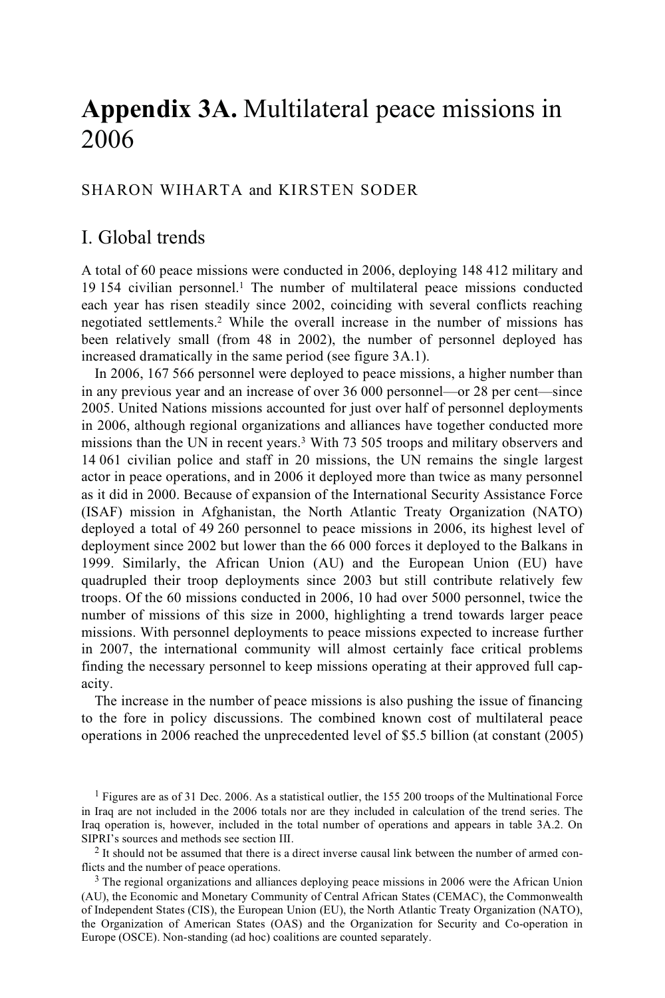# **Appendix 3A.** Multilateral peace missions in 2006

## SHARON WIHARTA and KIRSTEN SODER

# I. Global trends

A total of 60 peace missions were conducted in 2006, deploying 148 412 military and 19 154 civilian personnel.<sup>1</sup> The number of multilateral peace missions conducted each year has risen steadily since 2002, coinciding with several conflicts reaching negotiated settlements.2 While the overall increase in the number of missions has been relatively small (from 48 in 2002), the number of personnel deployed has increased dramatically in the same period (see figure 3A.1).

In 2006, 167 566 personnel were deployed to peace missions, a higher number than in any previous year and an increase of over 36 000 personnel—or 28 per cent—since 2005. United Nations missions accounted for just over half of personnel deployments in 2006, although regional organizations and alliances have together conducted more missions than the UN in recent years.3 With 73 505 troops and military observers and 14 061 civilian police and staff in 20 missions, the UN remains the single largest actor in peace operations, and in 2006 it deployed more than twice as many personnel as it did in 2000. Because of expansion of the International Security Assistance Force (ISAF) mission in Afghanistan, the North Atlantic Treaty Organization (NATO) deployed a total of 49 260 personnel to peace missions in 2006, its highest level of deployment since 2002 but lower than the 66 000 forces it deployed to the Balkans in 1999. Similarly, the African Union (AU) and the European Union (EU) have quadrupled their troop deployments since 2003 but still contribute relatively few troops. Of the 60 missions conducted in 2006, 10 had over 5000 personnel, twice the number of missions of this size in 2000, highlighting a trend towards larger peace missions. With personnel deployments to peace missions expected to increase further in 2007, the international community will almost certainly face critical problems finding the necessary personnel to keep missions operating at their approved full capacity.

The increase in the number of peace missions is also pushing the issue of financing to the fore in policy discussions. The combined known cost of multilateral peace operations in 2006 reached the unprecedented level of \$5.5 billion (at constant (2005)

<sup>1</sup> Figures are as of 31 Dec. 2006. As a statistical outlier, the 155 200 troops of the Multinational Force in Iraq are not included in the 2006 totals nor are they included in calculation of the trend series. The Iraq operation is, however, included in the total number of operations and appears in table 3A.2. On SIPRI's sources and methods see section III.

 $<sup>2</sup>$  It should not be assumed that there is a direct inverse causal link between the number of armed con-</sup> flicts and the number of peace operations.<br><sup>3</sup> The regional organizations and alliances deploying peace missions in 2006 were the African Union

(AU), the Economic and Monetary Community of Central African States (CEMAC), the Commonwealth of Independent States (CIS), the European Union (EU), the North Atlantic Treaty Organization (NATO), the Organization of American States (OAS) and the Organization for Security and Co-operation in Europe (OSCE). Non-standing (ad hoc) coalitions are counted separately.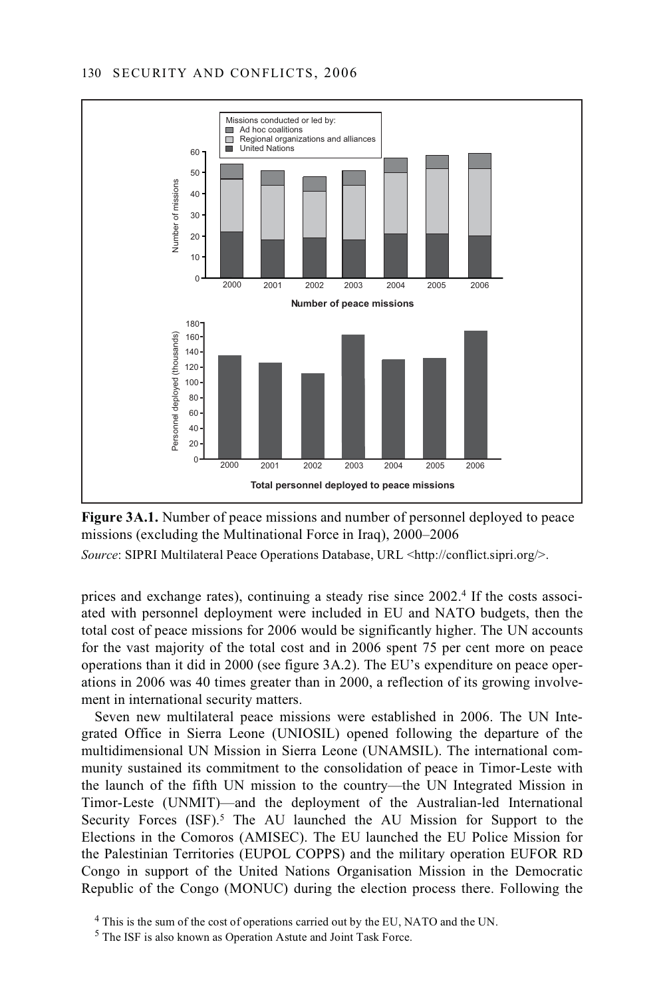



*Source*: SIPRI Multilateral Peace Operations Database, URL <http://conflict.sipri.org/>.

prices and exchange rates), continuing a steady rise since 2002.4 If the costs associated with personnel deployment were included in EU and NATO budgets, then the total cost of peace missions for 2006 would be significantly higher. The UN accounts for the vast majority of the total cost and in 2006 spent 75 per cent more on peace operations than it did in 2000 (see figure 3A.2). The EU's expenditure on peace operations in 2006 was 40 times greater than in 2000, a reflection of its growing involvement in international security matters.

Seven new multilateral peace missions were established in 2006. The UN Integrated Office in Sierra Leone (UNIOSIL) opened following the departure of the multidimensional UN Mission in Sierra Leone (UNAMSIL). The international community sustained its commitment to the consolidation of peace in Timor-Leste with the launch of the fifth UN mission to the country—the UN Integrated Mission in Timor-Leste (UNMIT)—and the deployment of the Australian-led International Security Forces  $(ISF)$ .<sup>5</sup> The AU launched the AU Mission for Support to the Elections in the Comoros (AMISEC). The EU launched the EU Police Mission for the Palestinian Territories (EUPOL COPPS) and the military operation EUFOR RD Congo in support of the United Nations Organisation Mission in the Democratic Republic of the Congo (MONUC) during the election process there. Following the

<sup>&</sup>lt;sup>4</sup> This is the sum of the cost of operations carried out by the EU, NATO and the UN.

<sup>5</sup> The ISF is also known as Operation Astute and Joint Task Force.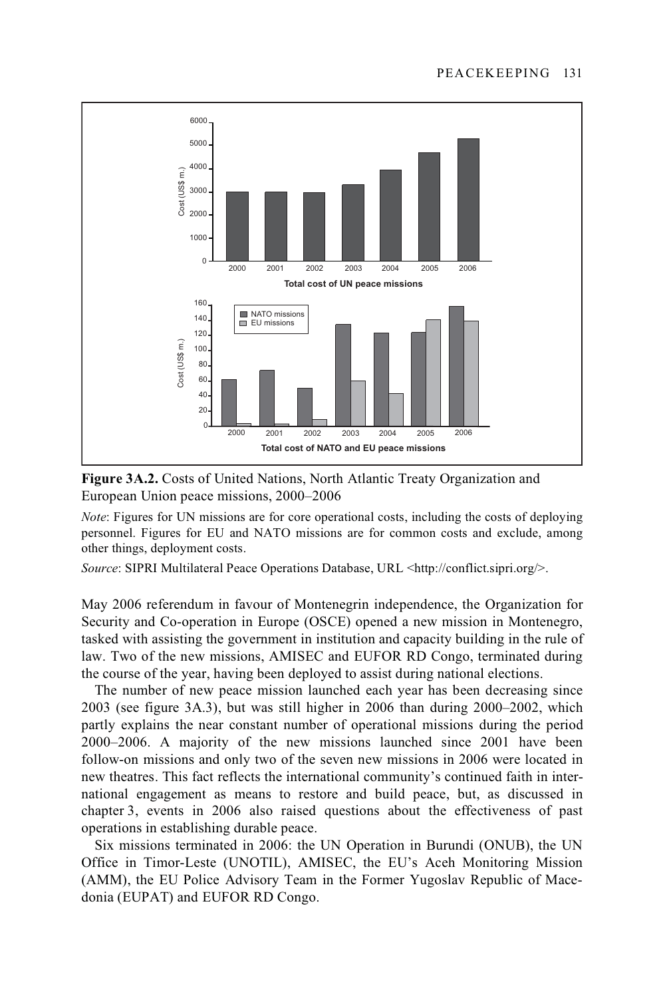

**Figure 3A.2.** Costs of United Nations, North Atlantic Treaty Organization and European Union peace missions, 2000–2006

*Note*: Figures for UN missions are for core operational costs, including the costs of deploying personnel. Figures for EU and NATO missions are for common costs and exclude, among other things, deployment costs.

*Source*: SIPRI Multilateral Peace Operations Database, URL <http://conflict.sipri.org/>.

May 2006 referendum in favour of Montenegrin independence, the Organization for Security and Co-operation in Europe (OSCE) opened a new mission in Montenegro, tasked with assisting the government in institution and capacity building in the rule of law. Two of the new missions, AMISEC and EUFOR RD Congo, terminated during the course of the year, having been deployed to assist during national elections.

The number of new peace mission launched each year has been decreasing since 2003 (see figure 3A.3), but was still higher in 2006 than during 2000–2002, which partly explains the near constant number of operational missions during the period 2000–2006. A majority of the new missions launched since 2001 have been follow-on missions and only two of the seven new missions in 2006 were located in new theatres. This fact reflects the international community's continued faith in international engagement as means to restore and build peace, but, as discussed in chapter 3, events in 2006 also raised questions about the effectiveness of past operations in establishing durable peace.

Six missions terminated in 2006: the UN Operation in Burundi (ONUB), the UN Office in Timor-Leste (UNOTIL), AMISEC, the EU's Aceh Monitoring Mission (AMM), the EU Police Advisory Team in the Former Yugoslav Republic of Macedonia (EUPAT) and EUFOR RD Congo.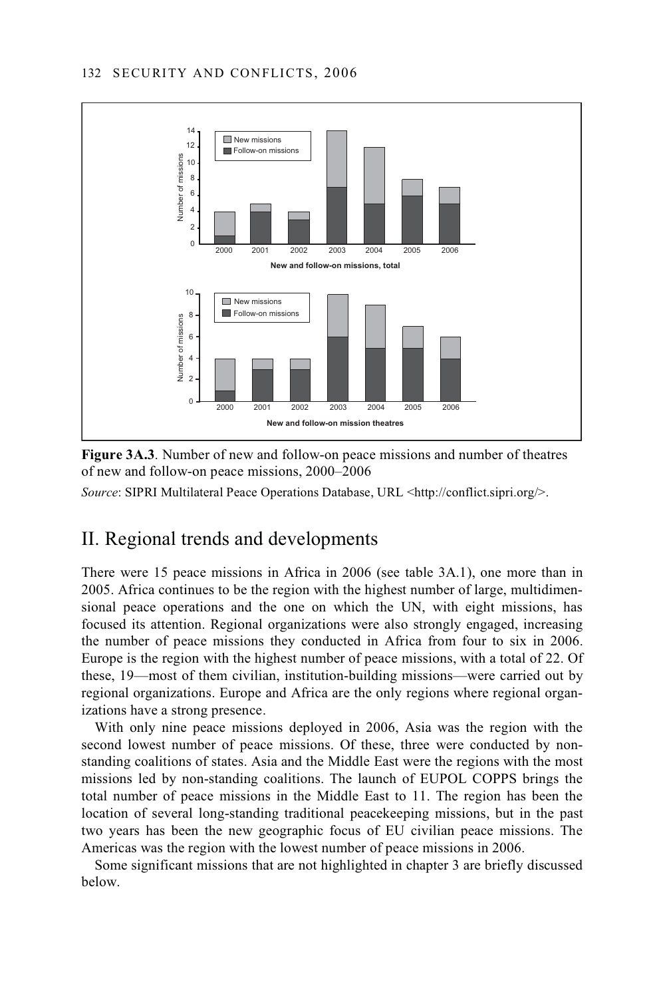

**Figure 3A.3**. Number of new and follow-on peace missions and number of theatres of new and follow-on peace missions, 2000–2006

*Source*: SIPRI Multilateral Peace Operations Database, URL <http://conflict.sipri.org/>.

# II. Regional trends and developments

There were 15 peace missions in Africa in 2006 (see table 3A.1), one more than in 2005. Africa continues to be the region with the highest number of large, multidimensional peace operations and the one on which the UN, with eight missions, has focused its attention. Regional organizations were also strongly engaged, increasing the number of peace missions they conducted in Africa from four to six in 2006. Europe is the region with the highest number of peace missions, with a total of 22. Of these, 19—most of them civilian, institution-building missions—were carried out by regional organizations. Europe and Africa are the only regions where regional organizations have a strong presence.

With only nine peace missions deployed in 2006, Asia was the region with the second lowest number of peace missions. Of these, three were conducted by nonstanding coalitions of states. Asia and the Middle East were the regions with the most missions led by non-standing coalitions. The launch of EUPOL COPPS brings the total number of peace missions in the Middle East to 11. The region has been the location of several long-standing traditional peacekeeping missions, but in the past two years has been the new geographic focus of EU civilian peace missions. The Americas was the region with the lowest number of peace missions in 2006.

Some significant missions that are not highlighted in chapter 3 are briefly discussed below.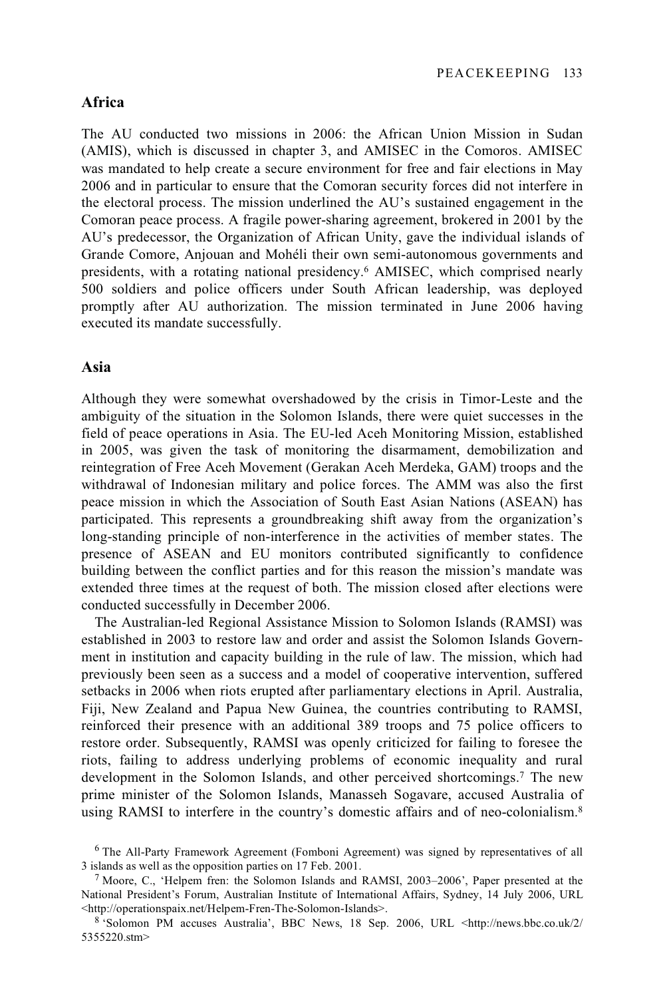## **Africa**

The AU conducted two missions in 2006: the African Union Mission in Sudan (AMIS), which is discussed in chapter 3, and AMISEC in the Comoros. AMISEC was mandated to help create a secure environment for free and fair elections in May 2006 and in particular to ensure that the Comoran security forces did not interfere in the electoral process. The mission underlined the AU's sustained engagement in the Comoran peace process. A fragile power-sharing agreement, brokered in 2001 by the AU's predecessor, the Organization of African Unity, gave the individual islands of Grande Comore, Anjouan and Mohéli their own semi-autonomous governments and presidents, with a rotating national presidency.6 AMISEC, which comprised nearly 500 soldiers and police officers under South African leadership, was deployed promptly after AU authorization. The mission terminated in June 2006 having executed its mandate successfully.

#### **Asia**

Although they were somewhat overshadowed by the crisis in Timor-Leste and the ambiguity of the situation in the Solomon Islands, there were quiet successes in the field of peace operations in Asia. The EU-led Aceh Monitoring Mission, established in 2005, was given the task of monitoring the disarmament, demobilization and reintegration of Free Aceh Movement (Gerakan Aceh Merdeka, GAM) troops and the withdrawal of Indonesian military and police forces. The AMM was also the first peace mission in which the Association of South East Asian Nations (ASEAN) has participated. This represents a groundbreaking shift away from the organization's long-standing principle of non-interference in the activities of member states. The presence of ASEAN and EU monitors contributed significantly to confidence building between the conflict parties and for this reason the mission's mandate was extended three times at the request of both. The mission closed after elections were conducted successfully in December 2006.

The Australian-led Regional Assistance Mission to Solomon Islands (RAMSI) was established in 2003 to restore law and order and assist the Solomon Islands Government in institution and capacity building in the rule of law. The mission, which had previously been seen as a success and a model of cooperative intervention, suffered setbacks in 2006 when riots erupted after parliamentary elections in April. Australia, Fiji, New Zealand and Papua New Guinea, the countries contributing to RAMSI, reinforced their presence with an additional 389 troops and 75 police officers to restore order. Subsequently, RAMSI was openly criticized for failing to foresee the riots, failing to address underlying problems of economic inequality and rural development in the Solomon Islands, and other perceived shortcomings.7 The new prime minister of the Solomon Islands, Manasseh Sogavare, accused Australia of using RAMSI to interfere in the country's domestic affairs and of neo-colonialism.8

<sup>&</sup>lt;sup>6</sup> The All-Party Framework Agreement (Fomboni Agreement) was signed by representatives of all 3 islands as well as the opposition parties on 17 Feb. 2001.

 $3$  Moore, C., 'Helpem fren: the Solomon Islands and RAMSI, 2003–2006', Paper presented at the National President's Forum, Australian Institute of International Affairs, Sydney, 14 July 2006, URL <http://operationspaix.net/Helpem-Fren-The-Solomon-Islands>.

<sup>8 &#</sup>x27;Solomon PM accuses Australia', BBC News, 18 Sep. 2006, URL <http://news.bbc.co.uk/2/ 5355220.stm>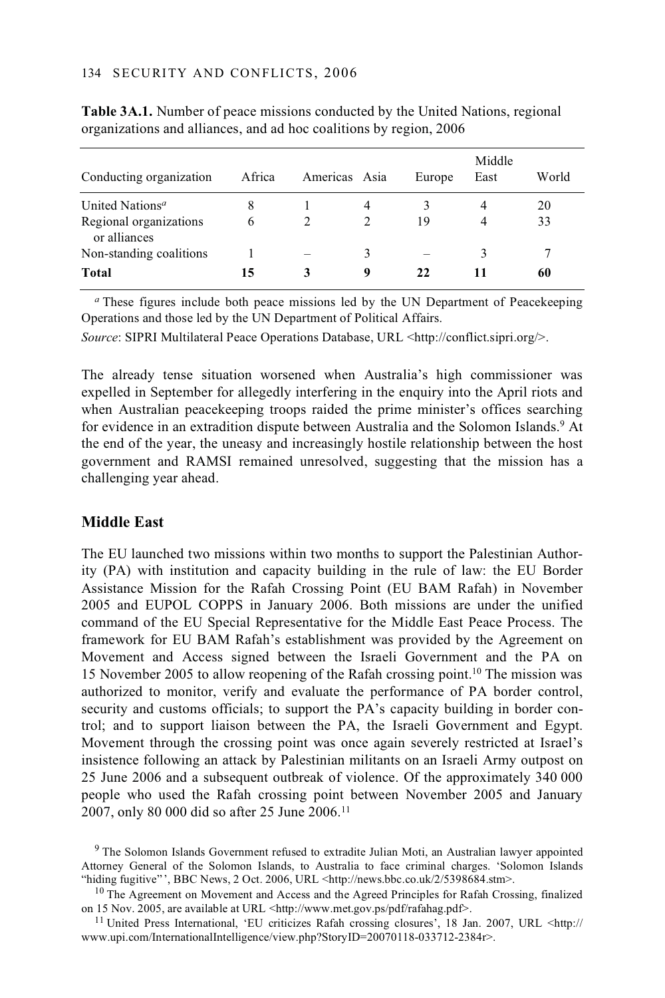| Conducting organization                | Africa | Americas Asia |                | Europe | Middle<br>East | World |
|----------------------------------------|--------|---------------|----------------|--------|----------------|-------|
| United Nations <sup>a</sup>            | 8      |               | 4              |        | 4              | 20    |
| Regional organizations<br>or alliances | 6      |               | $\overline{2}$ | 19     | 4              | 33    |
| Non-standing coalitions                |        |               | 3              |        | 3              |       |
| <b>Total</b>                           | 15     | 3             | 9              | 22     | 11             | 60    |

**Table 3A.1.** Number of peace missions conducted by the United Nations, regional organizations and alliances, and ad hoc coalitions by region, 2006

*<sup>a</sup>* These figures include both peace missions led by the UN Department of Peacekeeping Operations and those led by the UN Department of Political Affairs.

*Source*: SIPRI Multilateral Peace Operations Database, URL <http://conflict.sipri.org/>.

The already tense situation worsened when Australia's high commissioner was expelled in September for allegedly interfering in the enquiry into the April riots and when Australian peacekeeping troops raided the prime minister's offices searching for evidence in an extradition dispute between Australia and the Solomon Islands.<sup>9</sup> At the end of the year, the uneasy and increasingly hostile relationship between the host government and RAMSI remained unresolved, suggesting that the mission has a challenging year ahead.

## **Middle East**

The EU launched two missions within two months to support the Palestinian Authority (PA) with institution and capacity building in the rule of law: the EU Border Assistance Mission for the Rafah Crossing Point (EU BAM Rafah) in November 2005 and EUPOL COPPS in January 2006. Both missions are under the unified command of the EU Special Representative for the Middle East Peace Process. The framework for EU BAM Rafah's establishment was provided by the Agreement on Movement and Access signed between the Israeli Government and the PA on 15 November 2005 to allow reopening of the Rafah crossing point.10 The mission was authorized to monitor, verify and evaluate the performance of PA border control, security and customs officials; to support the PA's capacity building in border control; and to support liaison between the PA, the Israeli Government and Egypt. Movement through the crossing point was once again severely restricted at Israel's insistence following an attack by Palestinian militants on an Israeli Army outpost on 25 June 2006 and a subsequent outbreak of violence. Of the approximately 340 000 people who used the Rafah crossing point between November 2005 and January 2007, only 80 000 did so after 25 June 2006.11

<sup>9</sup> The Solomon Islands Government refused to extradite Julian Moti, an Australian lawyer appointed Attorney General of the Solomon Islands, to Australia to face criminal charges. 'Solomon Islands "hiding fugitive"', BBC News, 2 Oct. 2006, URL <http://news.bbc.co.uk/2/5398684.stm>.

<sup>10</sup> The Agreement on Movement and Access and the Agreed Principles for Rafah Crossing, finalized on 15 Nov. 2005, are available at URL <http://www.met.gov.ps/pdf/rafahag.pdf>.

<sup>11</sup> United Press International, 'EU criticizes Rafah crossing closures', 18 Jan. 2007, URL <http:// www.upi.com/InternationalIntelligence/view.php?StoryID=20070118-033712-2384r>.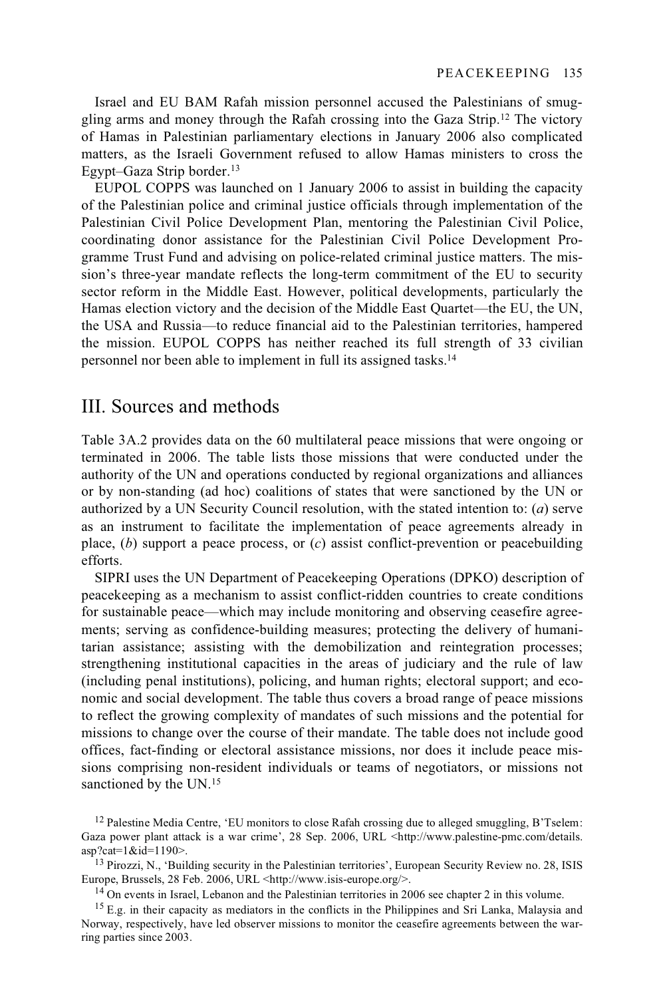Israel and EU BAM Rafah mission personnel accused the Palestinians of smuggling arms and money through the Rafah crossing into the Gaza Strip.12 The victory of Hamas in Palestinian parliamentary elections in January 2006 also complicated matters, as the Israeli Government refused to allow Hamas ministers to cross the Egypt–Gaza Strip border.13

EUPOL COPPS was launched on 1 January 2006 to assist in building the capacity of the Palestinian police and criminal justice officials through implementation of the Palestinian Civil Police Development Plan, mentoring the Palestinian Civil Police, coordinating donor assistance for the Palestinian Civil Police Development Programme Trust Fund and advising on police-related criminal justice matters. The mission's three-year mandate reflects the long-term commitment of the EU to security sector reform in the Middle East. However, political developments, particularly the Hamas election victory and the decision of the Middle East Quartet—the EU, the UN, the USA and Russia—to reduce financial aid to the Palestinian territories, hampered the mission. EUPOL COPPS has neither reached its full strength of 33 civilian personnel nor been able to implement in full its assigned tasks.14

# III. Sources and methods

Table 3A.2 provides data on the 60 multilateral peace missions that were ongoing or terminated in 2006. The table lists those missions that were conducted under the authority of the UN and operations conducted by regional organizations and alliances or by non-standing (ad hoc) coalitions of states that were sanctioned by the UN or authorized by a UN Security Council resolution, with the stated intention to: (*a*) serve as an instrument to facilitate the implementation of peace agreements already in place, (*b*) support a peace process, or (*c*) assist conflict-prevention or peacebuilding efforts.

SIPRI uses the UN Department of Peacekeeping Operations (DPKO) description of peacekeeping as a mechanism to assist conflict-ridden countries to create conditions for sustainable peace—which may include monitoring and observing ceasefire agreements; serving as confidence-building measures; protecting the delivery of humanitarian assistance; assisting with the demobilization and reintegration processes; strengthening institutional capacities in the areas of judiciary and the rule of law (including penal institutions), policing, and human rights; electoral support; and economic and social development. The table thus covers a broad range of peace missions to reflect the growing complexity of mandates of such missions and the potential for missions to change over the course of their mandate. The table does not include good offices, fact-finding or electoral assistance missions, nor does it include peace missions comprising non-resident individuals or teams of negotiators, or missions not sanctioned by the UN.<sup>15</sup>

 $12$  Palestine Media Centre, 'EU monitors to close Rafah crossing due to alleged smuggling, B'Tselem: Gaza power plant attack is a war crime', 28 Sep. 2006, URL <http://www.palestine-pmc.com/details.

asp?cat=1&id=1190>.<br><sup>13</sup> Pirozzi, N., 'Building security in the Palestinian territories', European Security Review no. 28, ISIS<br>Europe, Brussels, 28 Feb. 2006, URL <http://www.isis-europe.org/>.

<sup>&</sup>lt;sup>14</sup> On events in Israel, Lebanon and the Palestinian territories in 2006 see chapter 2 in this volume.

<sup>&</sup>lt;sup>15</sup> E.g. in their capacity as mediators in the conflicts in the Philippines and Sri Lanka, Malaysia and Norway, respectively, have led observer missions to monitor the ceasefire agreements between the warring parties since 2003.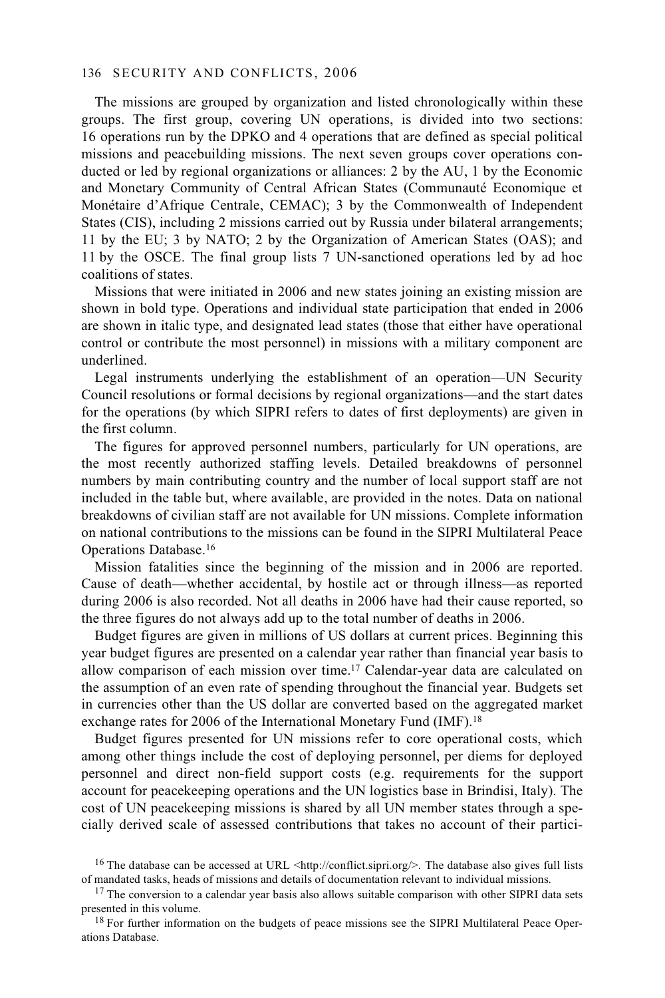The missions are grouped by organization and listed chronologically within these groups. The first group, covering UN operations, is divided into two sections: 16 operations run by the DPKO and 4 operations that are defined as special political missions and peacebuilding missions. The next seven groups cover operations conducted or led by regional organizations or alliances: 2 by the AU, 1 by the Economic and Monetary Community of Central African States (Communauté Economique et Monétaire d'Afrique Centrale, CEMAC); 3 by the Commonwealth of Independent States (CIS), including 2 missions carried out by Russia under bilateral arrangements; 11 by the EU; 3 by NATO; 2 by the Organization of American States (OAS); and 11 by the OSCE. The final group lists 7 UN-sanctioned operations led by ad hoc coalitions of states.

Missions that were initiated in 2006 and new states joining an existing mission are shown in bold type. Operations and individual state participation that ended in 2006 are shown in italic type, and designated lead states (those that either have operational control or contribute the most personnel) in missions with a military component are underlined.

Legal instruments underlying the establishment of an operation—UN Security Council resolutions or formal decisions by regional organizations—and the start dates for the operations (by which SIPRI refers to dates of first deployments) are given in the first column.

The figures for approved personnel numbers, particularly for UN operations, are the most recently authorized staffing levels. Detailed breakdowns of personnel numbers by main contributing country and the number of local support staff are not included in the table but, where available, are provided in the notes. Data on national breakdowns of civilian staff are not available for UN missions. Complete information on national contributions to the missions can be found in the SIPRI Multilateral Peace Operations Database.16

Mission fatalities since the beginning of the mission and in 2006 are reported. Cause of death—whether accidental, by hostile act or through illness—as reported during 2006 is also recorded. Not all deaths in 2006 have had their cause reported, so the three figures do not always add up to the total number of deaths in 2006.

Budget figures are given in millions of US dollars at current prices. Beginning this year budget figures are presented on a calendar year rather than financial year basis to allow comparison of each mission over time.17 Calendar-year data are calculated on the assumption of an even rate of spending throughout the financial year. Budgets set in currencies other than the US dollar are converted based on the aggregated market exchange rates for 2006 of the International Monetary Fund (IMF).<sup>18</sup>

Budget figures presented for UN missions refer to core operational costs, which among other things include the cost of deploying personnel, per diems for deployed personnel and direct non-field support costs (e.g. requirements for the support account for peacekeeping operations and the UN logistics base in Brindisi, Italy). The cost of UN peacekeeping missions is shared by all UN member states through a specially derived scale of assessed contributions that takes no account of their partici-

<sup>&</sup>lt;sup>16</sup> The database can be accessed at URL <http://conflict.sipri.org/>. The database also gives full lists of mandated tasks, heads of missions and details of documentation relevant to individual missions.

<sup>&</sup>lt;sup>17</sup> The conversion to a calendar year basis also allows suitable comparison with other SIPRI data sets presented in this volume.

 $18$  For further information on the budgets of peace missions see the SIPRI Multilateral Peace Operations Database.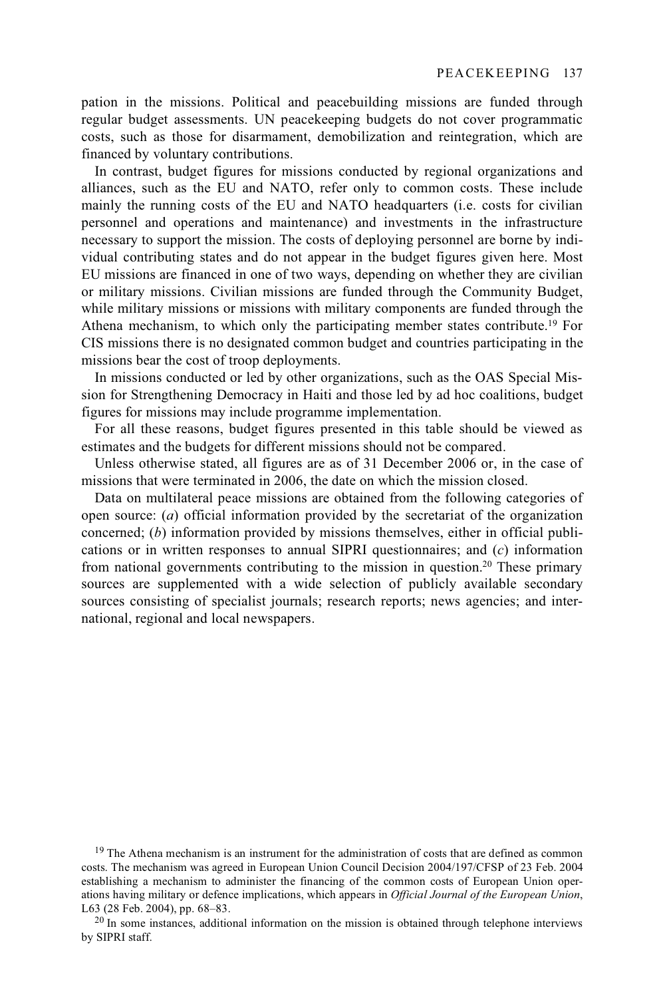pation in the missions. Political and peacebuilding missions are funded through regular budget assessments. UN peacekeeping budgets do not cover programmatic costs, such as those for disarmament, demobilization and reintegration, which are financed by voluntary contributions.

In contrast, budget figures for missions conducted by regional organizations and alliances, such as the EU and NATO, refer only to common costs. These include mainly the running costs of the EU and NATO headquarters (i.e. costs for civilian personnel and operations and maintenance) and investments in the infrastructure necessary to support the mission. The costs of deploying personnel are borne by individual contributing states and do not appear in the budget figures given here. Most EU missions are financed in one of two ways, depending on whether they are civilian or military missions. Civilian missions are funded through the Community Budget, while military missions or missions with military components are funded through the Athena mechanism, to which only the participating member states contribute.<sup>19</sup> For CIS missions there is no designated common budget and countries participating in the missions bear the cost of troop deployments.

In missions conducted or led by other organizations, such as the OAS Special Mission for Strengthening Democracy in Haiti and those led by ad hoc coalitions, budget figures for missions may include programme implementation.

For all these reasons, budget figures presented in this table should be viewed as estimates and the budgets for different missions should not be compared.

Unless otherwise stated, all figures are as of 31 December 2006 or, in the case of missions that were terminated in 2006, the date on which the mission closed.

Data on multilateral peace missions are obtained from the following categories of open source: (*a*) official information provided by the secretariat of the organization concerned; (*b*) information provided by missions themselves, either in official publications or in written responses to annual SIPRI questionnaires; and (*c*) information from national governments contributing to the mission in question.20 These primary sources are supplemented with a wide selection of publicly available secondary sources consisting of specialist journals; research reports; news agencies; and international, regional and local newspapers.

<sup>19</sup> The Athena mechanism is an instrument for the administration of costs that are defined as common costs. The mechanism was agreed in European Union Council Decision 2004/197/CFSP of 23 Feb. 2004 establishing a mechanism to administer the financing of the common costs of European Union operations having military or defence implications, which appears in *Official Journal of the European Union*,

 $^{20}$  In some instances, additional information on the mission is obtained through telephone interviews by SIPRI staff.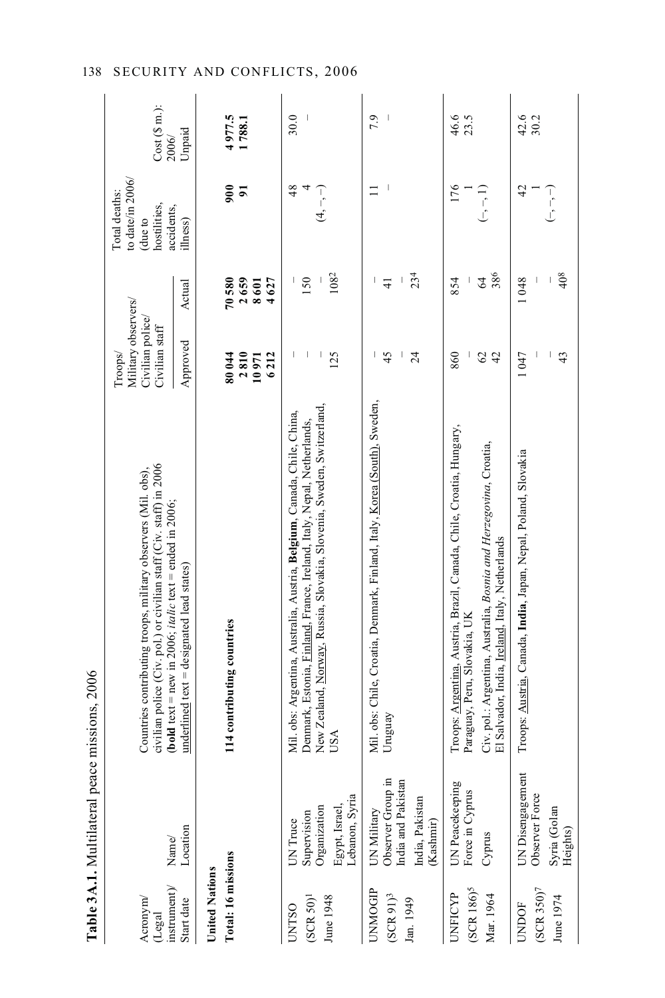|                                                | Table 3A.1. Multilateral peace missions, 2006                                          |                                                                                                                                                                                                                                   |                                                                      |                                                                                                                                                                                                                                                                                                                                                                                                          |                                                                           |                           |
|------------------------------------------------|----------------------------------------------------------------------------------------|-----------------------------------------------------------------------------------------------------------------------------------------------------------------------------------------------------------------------------------|----------------------------------------------------------------------|----------------------------------------------------------------------------------------------------------------------------------------------------------------------------------------------------------------------------------------------------------------------------------------------------------------------------------------------------------------------------------------------------------|---------------------------------------------------------------------------|---------------------------|
| instrument)<br>Acronym/<br>(Legal              | Name/                                                                                  | civilian police (Civ. pol.) or civilian staff (Civ. staff) in 2006<br>Countries contributing troops, military observers (Mil. obs),<br>( <b>bold</b> text = new in 2006; <i>italic</i> text = ended in 2006;                      | Military observers/<br>Civilian police/<br>Civilian staff<br>Troops/ |                                                                                                                                                                                                                                                                                                                                                                                                          | to date/in 2006/<br>Total deaths:<br>hostilities,<br>accidents,<br>due to | $Cost(S \n m.):$<br>2006/ |
| Start date                                     | Location                                                                               | underlined text = designated lead states)                                                                                                                                                                                         | Approved                                                             | Actual                                                                                                                                                                                                                                                                                                                                                                                                   | ilhess)                                                                   | Unpaid                    |
| <b>United Nations</b>                          |                                                                                        |                                                                                                                                                                                                                                   |                                                                      |                                                                                                                                                                                                                                                                                                                                                                                                          |                                                                           |                           |
| Total: 16 missions                             |                                                                                        | 114 contributing countries                                                                                                                                                                                                        | 2810<br>80044<br>6212<br>10971                                       | 70580<br>2659<br>4627<br>8601                                                                                                                                                                                                                                                                                                                                                                            | 500<br>$\overline{9}$                                                     | 4977.5<br>1788.1          |
| $(SCRS0)^1$<br>June 1948<br><b>UNTSO</b>       | Egypt, Israel,<br>Lebanon, Syria<br>Organization<br>Supervision<br>UN Truce            | New Zealand, Norway, Russia, Slovakia, Slovenia, Sweden, Switzerland,<br>Mil. obs: Argentina, Australia, Austria, Belgium, Canada, Chile, China,<br>Denmark, Estonia, Finland, France, Ireland, Italy, Nepal, Netherlands,<br>USA | 125                                                                  | 1082<br>150                                                                                                                                                                                                                                                                                                                                                                                              | 48<br>$\overline{4,-}$                                                    | 30.0                      |
| UNMOGIP<br>$(SCR91)^3$<br>lan. 1949            | Observer Group in<br>India and Pakistan<br>India, Pakistan<br>UN Military<br>(Kashmir) | Mil. obs: Chile, Croatia, Denmark, Finland, Italy, Korea (South), Sweden,<br>Uruguay                                                                                                                                              | 45<br>$\overline{\phantom{a}}$<br>$\overline{24}$                    | 234<br>$\begin{array}{c} \rule{0pt}{2.5ex} \rule{0pt}{2.5ex} \rule{0pt}{2.5ex} \rule{0pt}{2.5ex} \rule{0pt}{2.5ex} \rule{0pt}{2.5ex} \rule{0pt}{2.5ex} \rule{0pt}{2.5ex} \rule{0pt}{2.5ex} \rule{0pt}{2.5ex} \rule{0pt}{2.5ex} \rule{0pt}{2.5ex} \rule{0pt}{2.5ex} \rule{0pt}{2.5ex} \rule{0pt}{2.5ex} \rule{0pt}{2.5ex} \rule{0pt}{2.5ex} \rule{0pt}{2.5ex} \rule{0pt}{2.5ex} \rule{0$<br>$\frac{1}{4}$ | $\Box$                                                                    | 7.9                       |
| (SCR 186) <sup>5</sup><br>UNFICYP<br>Mar. 1964 | UN Peacekeeping<br>Force in Cyprus<br>Cyprus                                           | Troops: Argentina, Austria, Brazil, Canada, Chile, Croatia, Hungary,<br>Civ. pol.: Argentina, Australia, Bosnia and Herzegovina, Croatia,<br>El Salvador, India, Ireland, Italy, Netherlands<br>Paraguay, Peru, Slovakia, UK      | 860<br>42<br>$\mathcal{O}$                                           | 386<br>$\overline{6}$<br>854                                                                                                                                                                                                                                                                                                                                                                             | 176<br>$(-, -, 1)$                                                        | 46.6<br>23.5              |
| $(SCR\;350)^7$<br>June 1974<br><b>UNDOF</b>    | UN Disengagement<br>Observer Force<br>Syria (Golan<br>Heights)                         | Troops: Austria, Canada, India, Japan, Nepal, Poland, Slovakia                                                                                                                                                                    | 1047<br>$\ddot{+}$                                                   | 40 <sup>8</sup><br>1048                                                                                                                                                                                                                                                                                                                                                                                  | $\overline{4}$<br>$\frac{1}{2}$                                           | 42.6<br>30.2              |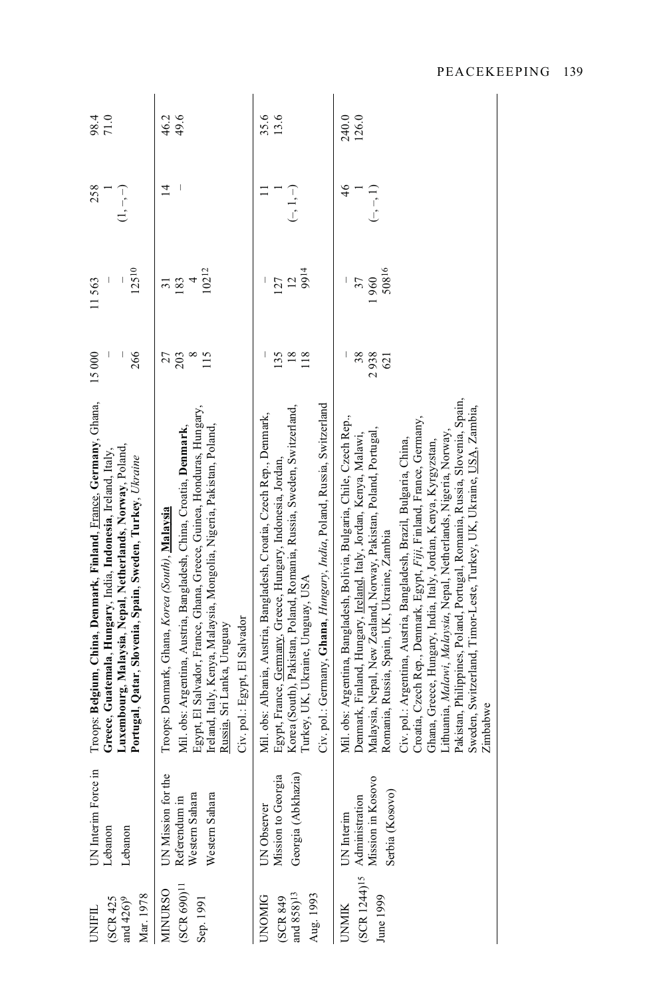| Mar. 1978<br>and 426) <sup>9</sup><br>(SCR 425<br>UNIFIL  | UN Interim Force in<br>Lebanon<br>Lebanon                               | Troops: Belgium, China, Denmark, Finland, France, Germany, Ghana,<br>Luxembourg, Malaysia, Nepal, Netherlands, Norway, Poland,<br>Greece, Guatemala, Hungary, India, Indonesia, Ireland, Italy,<br>Portugal, Qatar, Slovenia, Spain, Sweden, Turkey, Ukraine                                                                                                                                                                                                                                                                                                                                                                                                                                                                     | 15000<br>266<br>I            | 12510<br>11563                       | 258<br>ヿヮヿ        | 98.4<br>$71.0$ |
|-----------------------------------------------------------|-------------------------------------------------------------------------|----------------------------------------------------------------------------------------------------------------------------------------------------------------------------------------------------------------------------------------------------------------------------------------------------------------------------------------------------------------------------------------------------------------------------------------------------------------------------------------------------------------------------------------------------------------------------------------------------------------------------------------------------------------------------------------------------------------------------------|------------------------------|--------------------------------------|-------------------|----------------|
| $(SCR 690)^{11}$<br><b>MINURSO</b><br>Sep. 1991           | UN Mission for the<br>Western Sahara<br>Western Sahara<br>Referendum in | Egypt, El Salvador, France, Ghana, Greece, Guinea, Honduras, Hungary,<br>Ireland, Italy, Kenya, Malaysia, Mongolia, Nigeria, Pakistan, Poland,<br>Mil. obs: Argentina, Austria, Bangladesh, China, Croatia, Denmark,<br>Troops: Denmark, Ghana, Korea (South), Malaysia<br>Civ. pol.: Egypt, El Salvador<br>Russia, Sri Lanka, Uruguay                                                                                                                                                                                                                                                                                                                                                                                           | 203<br>$\infty$<br>115<br>27 | 10212<br>183<br>$\overline{a}$<br>51 | $\overline{4}$    | 49.6<br>46.2   |
| and $858)^{13}$<br>Aug. 1993<br><b>UNOMIG</b><br>(SCR 849 | Georgia (Abkhazia)<br>Mission to Georgia<br>UN Observer                 | Civ. pol.: Germany, Ghana, <i>Hungary, India</i> , Poland, Russia, Switzerland<br>Korea (South), Pakistan, Poland, Romania, Russia, Sweden, Switzerland,<br>Mil. obs: Albania, Austria, Bangladesh, Croatia, Czech Rep., Denmark,<br>Egypt, France, Germany, Greece, Hungary, Indonesia, Jordan,<br>Turkey, UK, Ukraine, Uruguay, USA                                                                                                                                                                                                                                                                                                                                                                                            | $18\,$<br>135<br>118         | 9914<br>12<br>127                    | $(-, 1, -)$       | 35.6<br>13.6   |
| (SCR 1244) <sup>15</sup><br>June 1999<br><b>UNMIK</b>     | Administration<br>Mission in Kosovo<br>Serbia (Kosovo)<br>UN Interim    | Pakistan, Philippines, Poland, Portugal, Romania, Russia, Slovenia, Spain,<br>Sweden, Switzerland, Timor-Leste, Turkey, UK, Ukraine, USA, Zambia,<br>Mil. obs: Argentina, Bangladesh, Bolivia, Bulgaria, Chile, Czech Rep.,<br>Croatia, Czech Rep., Denmark, Egypt, Fiji, Finland, France, Germany,<br>Malaysia, Nepal, New Zealand, Norway, Pakistan, Poland, Portugal,<br>Lithuania, Malawi, Malaysia, Nepal, Netherlands, Nigeria, Norway,<br>Denmark, Finland, Hungary, <u>Ireland</u> , Italy, Jordan, Kenya, Malawi,<br>Civ. pol.: Argentina, Austria, Bangladesh, Brazil, Bulgaria, China,<br>Ghana, Greece, Hungary, India, Italy, Jordan, Kenya, Kyrgyzstan,<br>Romania, Russia, Spain, UK, Ukraine, Zambia<br>Zimbabwe | 38<br>2938<br>621            | 50816<br> 960<br>37                  | 46<br>$(-, -, 1)$ | 240.0<br>126.0 |
|                                                           |                                                                         |                                                                                                                                                                                                                                                                                                                                                                                                                                                                                                                                                                                                                                                                                                                                  |                              |                                      |                   |                |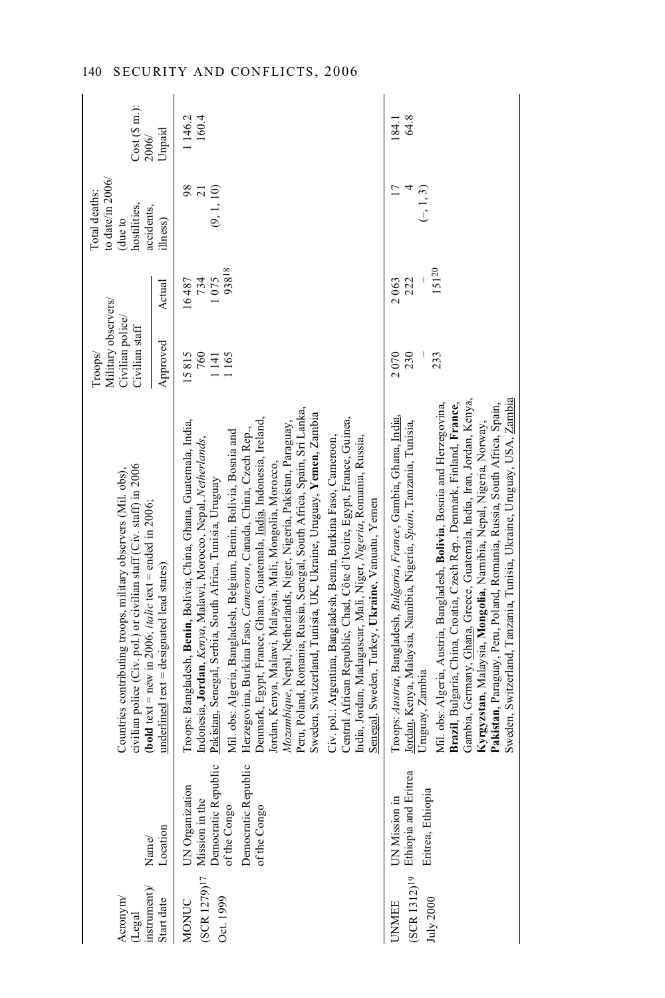| Acronym/<br>(Legal                               |                                                                                                                 | civilian police (Civ. pol.) or civilian staff (Civ. staff) in 2006<br>Countries contributing troops, military observers (Mil. obs),                                                                                                                                                                                                                                                                                                                                                                                                                                                                                                                                                                                                                                                                                                                                                                                                                                           | Military observers/<br>Civilian police/<br>Civilian staff<br>Troops/ |                               | to date/in 2006/<br>Total deaths:<br>hostilities,<br>due to | Cost(Sm.):      |
|--------------------------------------------------|-----------------------------------------------------------------------------------------------------------------|-------------------------------------------------------------------------------------------------------------------------------------------------------------------------------------------------------------------------------------------------------------------------------------------------------------------------------------------------------------------------------------------------------------------------------------------------------------------------------------------------------------------------------------------------------------------------------------------------------------------------------------------------------------------------------------------------------------------------------------------------------------------------------------------------------------------------------------------------------------------------------------------------------------------------------------------------------------------------------|----------------------------------------------------------------------|-------------------------------|-------------------------------------------------------------|-----------------|
| instrument)<br>Start date                        | Location<br>Name/                                                                                               | ( <b>bold</b> text = new in 2006; <i>italic</i> text = ended in 2006;<br>$underline{d}$ text = designated lead states)                                                                                                                                                                                                                                                                                                                                                                                                                                                                                                                                                                                                                                                                                                                                                                                                                                                        | Approved                                                             | Actual                        | accidents,<br>ilhess)                                       | Unpaid<br>2006/ |
| $(SCR 1279)$ <sup>17</sup><br>Oct. 1999<br>MONUC | UN Organization<br>Mission in the<br>Democratic Republic<br>of the Congo<br>Democratic Republic<br>of the Congo | Peru, Poland, Romania, Russia, Senegal, South Africa, Spain, Sri Lanka,<br>Sweden, Switzerland, Tunisia, UK, Ukraine, Uruguay, Yemen, Zambia<br>Central African Republic, Chad, Côte d'Ivoire, Egypt, France, Guinea,<br>Denmark, Egypt, France, Ghana, Guatemala, India, Indonesia, Ireland,<br>Mozambique, Nepal, Netherlands, Niger, Nigeria, Pakistan, Paraguay,<br>Troops: Bangladesh, Benin, Bolivia, China, Ghana, Guatemala, India,<br>Herzegovina, Burkina Faso, Cameroon, Canada, China, Czech Rep.,<br>Mil. obs: Algeria, Bangladesh, Belgium, Benin, Bolivia, Bosnia and<br>India, Jordan, Madagascar, Mali, Niger, Nigeria, Romania, Russia,<br>Indonesia, Jordan, Kenya, Malawi, Morocco, Nepal, Netherlands,<br>Civ. pol.: Argentina, Bangladesh, Benin, Burkina Faso, Cameroon,<br>Jordan, Kenya, Malawi, Malaysia, Mali, Mongolia, Morocco,<br>Pakistan, Senegal, Serbia, South Africa, Tunisia, Uruguay<br>Senegal, Sweden, Turkey, Ukraine, Vanuatu, Yemen | 15815<br>760<br>1165<br>1141                                         | 93818<br>734<br>1075<br>16487 | 98<br>(9, 1, 10)<br>$\overline{c}$                          | 1146.2<br>160.4 |
| July 2000                                        | UNMEE<br>(SCR 1312) <sup>19</sup> Ethiopia and Eritrea<br>Eritrea, Ethiopia                                     | Sweden, Switzerland, Tanzania, Tunisia, Ukraine, Uruguay, USA, Zambia<br>Gambia, Germany, Ghana, Greece, Guatemala, India, Iran, Jordan, Kenya,<br>Mil. obs: Algeria, Austria, Bangladesh, Bolivia, Bosnia and Herzegovina,<br>Brazil, Bulgaria, China, Croatia, Czech Rep., Denmark, Finland, France,<br>Pakistan, Paraguay, Peru, Poland, Romania, Russia, South Africa, Spain,<br>Troops: Austria, Bangladesh, Bulgaria, France, Gambia, Ghana, India,<br><u>Jordan</u> , Kenya, Malaysia, Namibia, Nigeria, S <i>pain</i> , Tanzania, Tunisia,<br>Kyrgyzstan, Malaysia, Mongolia, Namibia, Nepal, Nigeria, Norway,<br>Uruguay, Zambia                                                                                                                                                                                                                                                                                                                                     | 2070<br>230<br>233                                                   | 15120<br>222<br>2063          | $\overline{17}$<br>4<br>$(-, 1, 3)$                         | 64.8<br>184.1   |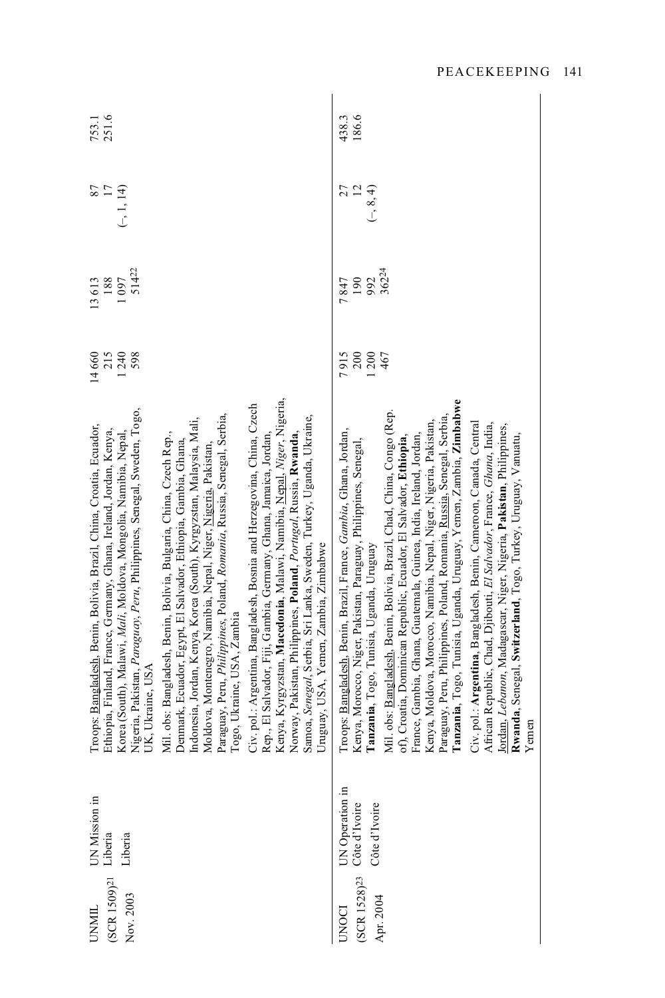| (SCR 1509) <sup>21</sup><br>Nov. 2003<br><b>UNMIL</b> | UN Mission in<br>Liberia<br>Liberia               | Kenya, Kyrgyzstan, Macedonia, Malawi, Namibia, Nepal, Niger, Nigeria,<br>Civ. pol.: Argentina, Bangladesh, Bosnia and Herzegovina, China, Czech<br>Nigeria, Pakistan, Paraguay, Peru, Philippines, Senegal, Sweden, Togo,<br>Paraguay, Peru, Philippines, Poland, Romania, Russia, Senegal, Serbia,<br>Samoa, Senegal, Serbia, Sri Lanka, Sweden, Turkey, Uganda, Ukraine,<br>Indonesia, Jordan, Kenya, Korea (South), Kyrgyzstan, Malaysia, Mali,<br>Troops: Bangladesh, Benin, Bolivia, Brazil, China, Croatia, Ecuador,<br>Ethiopia, Finland, France, Germany, Ghana, Ireland, Jordan, Kenya,<br>Korea (South), Malawi, Mali, Moldova, Mongolia, Namibia, Nepal,<br>Norway, Pakistan, Philippines, Poland, Portugal, Russia, Rwanda,<br>Mil. obs: Bangladesh, Benin, Bolivia, Bulgaria, China, Czech Rep.,<br>Rep., El Salvador, Fiji, Gambia, Germany, Ghana, Jamaica, Jordan,<br>Denmark, Ecuador, Egypt, El Salvador, Ethiopia, Gambia, Ghana,<br>Moldova, Montenegro, Namibia, Nepal, Niger, Nigeria, Pakistan,<br>Uruguay, USA, Yemen, Zambia, Zimbabwe<br>Togo, Ukraine, USA, Zambia<br>UK, Ukraine, USA | 215<br>1240<br>14660<br>598 | 51422<br>1097<br>188<br>13613 | 17<br>$(-, 1, 14)$<br>87             | 251.6<br>753.1 |
|-------------------------------------------------------|---------------------------------------------------|-------------------------------------------------------------------------------------------------------------------------------------------------------------------------------------------------------------------------------------------------------------------------------------------------------------------------------------------------------------------------------------------------------------------------------------------------------------------------------------------------------------------------------------------------------------------------------------------------------------------------------------------------------------------------------------------------------------------------------------------------------------------------------------------------------------------------------------------------------------------------------------------------------------------------------------------------------------------------------------------------------------------------------------------------------------------------------------------------------------------|-----------------------------|-------------------------------|--------------------------------------|----------------|
| $(SCR 1528)^{23}$<br>Apr. 2004                        | UN Operation in<br>Côte d'Ivoire<br>Côte d'Ivoire | Tanzania, Togo, Tunisia, Uganda, Uruguay, Yemen, Zambia, Zimbabwe<br>Mil. obs: Bangladesh, Benin, Bolivia, Brazil, Chad, China, Congo (Rep.<br>Paraguay, Peru, Philippines, Poland, Romania, Russia, Senegal, Serbia,<br>Kenya, Moldova, Morocco, Namibia, Nepal, Niger, Nigeria, Pakistan,<br>Civ. pol.: Argentina, Bangladesh, Benin, Cameroon, Canada, Central<br>African Republic, Chad, Djibouti, El Salvador, France, Ghana, India,<br><u>Jordan</u> , <i>Lebanon</i> , Madagascar, Niger, Nigeria, <b>Pakistan</b> , Philippines,<br><b>Rwanda</b> , Senegal, S <b>witzerland</b> , Togo, Turkey, Uruguay, Vanuatu,<br>Troops: Bangladesh, Benin, Brazil, France, Gambia, Ghana, Jordan,<br>France, Gambia, Ghana, Guatemala, Guinea, India, Ireland, Jordan,<br>of), Croatia, Dominican Republic, Ecuador, El Salvador, Ethiopia,<br>Kenya, Morocco, Niger, Pakistan, Paraguay, Philippines, Senegal,<br>Tanzania, Togo, Tunisia, Uganda, Uruguay<br>Yemen                                                                                                                                                | 200<br>7915<br>200<br>467   | 36224<br>992<br>190<br>7847   | $\overline{12}$<br>27<br>$(-, 8, 4)$ | 186.6<br>438.3 |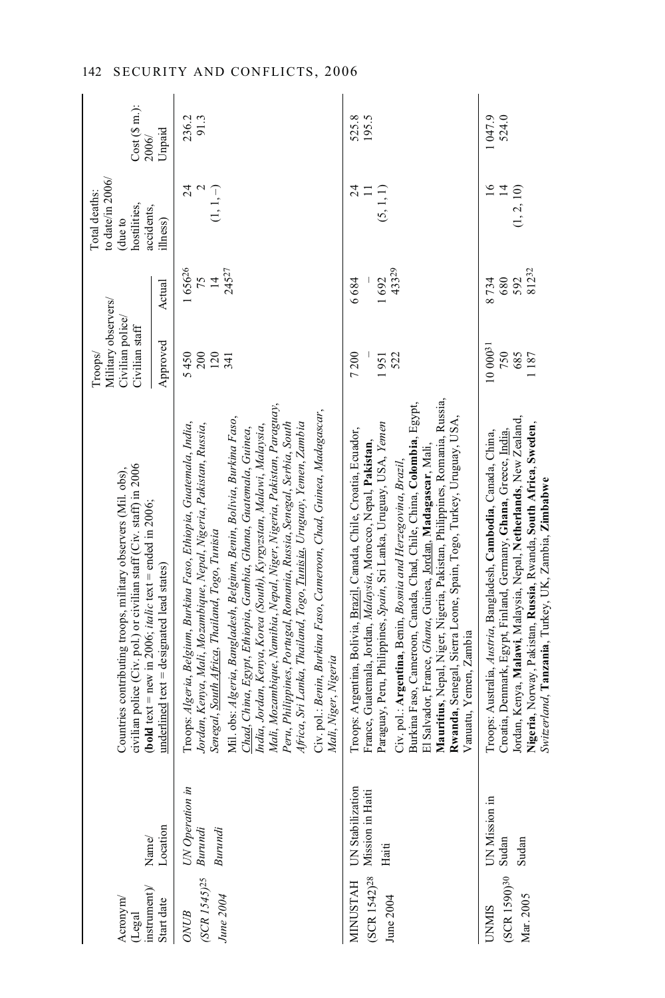| $\mathtt{instrument})$<br>Acronym<br>(Legal              | Name/                                         | civilian police (Civ. pol.) or civilian staff (Civ. staff) in 2006<br>Countries contributing troops, military observers (Mil. obs),<br>( <b>bold</b> text = new in 2006; <i>italic</i> text = ended in 2006;                                                                                                                                                                                                                                                                                                                                                                                                                                                                                                                                 | Military observers/<br>Civilian police/<br>Civilian staff<br>Troops/ |                                   | to date/in 2006/<br>Total deaths:<br>hostilities,<br>accidents,<br>(due to | $Cost(S \, m.)$ :<br>2006/ |
|----------------------------------------------------------|-----------------------------------------------|----------------------------------------------------------------------------------------------------------------------------------------------------------------------------------------------------------------------------------------------------------------------------------------------------------------------------------------------------------------------------------------------------------------------------------------------------------------------------------------------------------------------------------------------------------------------------------------------------------------------------------------------------------------------------------------------------------------------------------------------|----------------------------------------------------------------------|-----------------------------------|----------------------------------------------------------------------------|----------------------------|
| Start date                                               | Location                                      | $\text{underlined}$ text = designated lead states)                                                                                                                                                                                                                                                                                                                                                                                                                                                                                                                                                                                                                                                                                           | Approved                                                             | Actual                            | ilhess)                                                                    | Unpaid                     |
| (SCR 1545)25 Burundi<br>June 2004<br>ONUB                | UN Operation in<br>Burundi                    | Mali, Mozambique, Namibia, Nepal, Niger, Nigeria, Pakistan, Paraguay,<br>Civ. pol.: Benin, Burkina Faso, Cameroon, Chad, Guinea, Madagascar,<br>Vill. obs: Algeria, Bangladesh, Belgium, Benin, Bolivia, Burkina Faso,<br>Troops: Algeria, Belgium, Burkina Faso, Ethiopia, Guatemala, India,<br>Jordan, Kenya, Mali, Mozambique, Nepal, Nigeria, Pakistan, Russia,<br>India, Jordan, Kenya, Korea (South), Kyrgyzstan, Malawi, Malaysia,<br>Peru, Philippines, Portugal, Romania, Russia, Senegal, Serbia, South<br>Africa, Sri Lanka, Thailand, Togo, <u>Tunisia</u> , Uruguay, Yemen, Zambia<br>Chad, China, Egypt, Ethiopia, Gambia, Ghana, Guatemala, Guinea,<br>Senegal, South Africa, Thailand, Togo, Tunisia<br>Mali, Niger, Nigeria | 5450<br>200<br>120<br>341                                            | 165626<br>24527<br>$\frac{75}{4}$ | $^{24}$<br>$\mathbf 2$<br>$(1, 1, -)$                                      | 236.2<br>91.3              |
| (SCR 1542) <sup>28</sup><br><b>MINUSTAH</b><br>June 2004 | UN Stabilization<br>Mission in Haiti<br>Haiti | Mauritius, Nepal, Niger, Nigeria, Pakistan, Philippines, Romania, Russia,<br>Burkina Faso, Cameroon, Canada, Chad, Chile, China, Colombia, Egypt,<br>Rwanda, Senegal, Sierra Leone, Spain, Togo, Turkey, Uruguay, USA<br>Paraguay, Peru, Philippines, Spain, Sri Lanka, Uruguay, USA, Yemen<br>Troops: Argentina, Bolivia, Brazil, Canada, Chile, Croatia, Ecuador,<br>France, Guatemala, Jordan, Malaysia, Morocco, Nepal, Pakistan,<br>El Salvador, France, Ghana, Guinea, Jordan, Madagascar, Mali,<br>Civ. pol.: Argentina, Benin, Bosnia and Herzegovina, Brazil<br>Vanuatu, Yemen, Zambia                                                                                                                                              | 7200<br>522<br>1951                                                  | 43329<br>1692<br>6684             | $^{24}$<br>(5, 1, 1)<br>$\equiv$                                           | 525.8<br>195.5             |
| $(SCR 1590)30$ Sudan<br>Mar. 2005<br>CINMIS              | UN Mission in<br>Sudan                        | Jordan, Kenya, Malawi, Malaysia, Nepal, Netherlands, New Zealand,<br>Nigeria, Norway, Pakistan, Russia, Rwanda, South Africa, Sweden,<br>Troops: Australia, Austria, Bangladesh, Cambodia, Canada, China,<br>Croatia, Denmark, Egypt, Finland, Germany, Ghana, Greece, India.<br>Switzerland, Tanzania, Turkey, UK, Zambia, Zimbabwe                                                                                                                                                                                                                                                                                                                                                                                                         | 10 00031<br>750<br>685<br>1187                                       | 81232<br>592<br>8734<br>680       | $\frac{6}{1}$<br>(1, 2, 10)<br>$\overline{1}$                              | 524.0<br>1047.9            |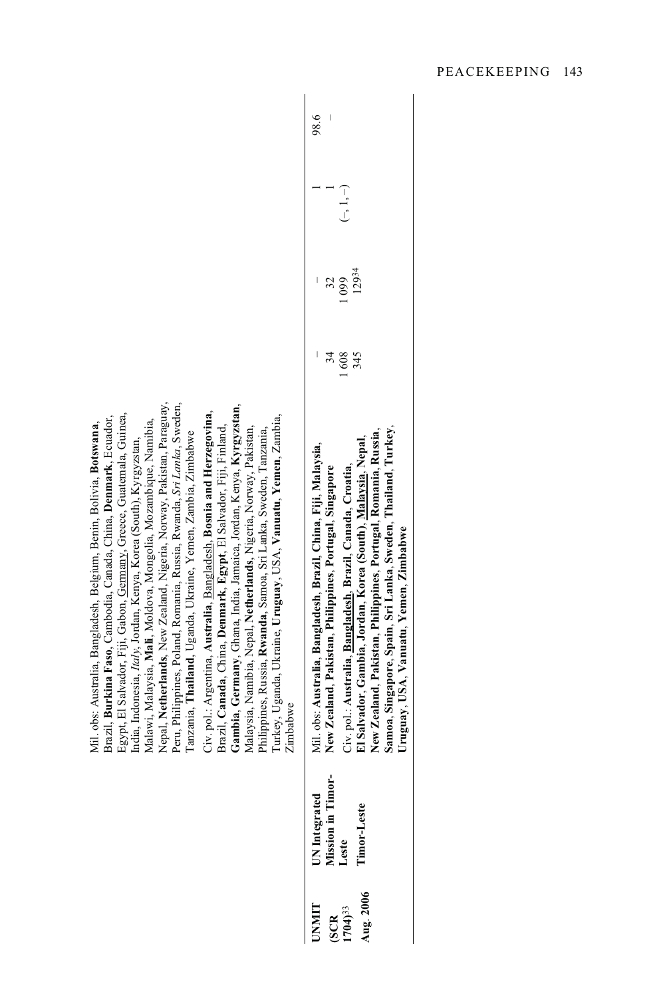|                                                                                                                                                                                                                                                                                                                                                                                                                                                                                                                                                                                                                                                                                                                                                                                                                                                                                                                                                                                                                                | 98.6                                                                                                                                                                                                                                                                                                                                                                                                                                  |
|--------------------------------------------------------------------------------------------------------------------------------------------------------------------------------------------------------------------------------------------------------------------------------------------------------------------------------------------------------------------------------------------------------------------------------------------------------------------------------------------------------------------------------------------------------------------------------------------------------------------------------------------------------------------------------------------------------------------------------------------------------------------------------------------------------------------------------------------------------------------------------------------------------------------------------------------------------------------------------------------------------------------------------|---------------------------------------------------------------------------------------------------------------------------------------------------------------------------------------------------------------------------------------------------------------------------------------------------------------------------------------------------------------------------------------------------------------------------------------|
|                                                                                                                                                                                                                                                                                                                                                                                                                                                                                                                                                                                                                                                                                                                                                                                                                                                                                                                                                                                                                                | $(-, 1, -)$                                                                                                                                                                                                                                                                                                                                                                                                                           |
|                                                                                                                                                                                                                                                                                                                                                                                                                                                                                                                                                                                                                                                                                                                                                                                                                                                                                                                                                                                                                                | 12934<br>1099<br>32                                                                                                                                                                                                                                                                                                                                                                                                                   |
|                                                                                                                                                                                                                                                                                                                                                                                                                                                                                                                                                                                                                                                                                                                                                                                                                                                                                                                                                                                                                                | 34<br>1608<br>345                                                                                                                                                                                                                                                                                                                                                                                                                     |
| Nepal, Netherlands, New Zealand, Nigeria, Norway, Pakistan, Paraguay,<br>Peru, Philippines, Poland, Romania, Russia, Rwanda, Sri Lanka, Sweden,<br>Gambia, Germany, Ghana, India, Jamaica, Jordan, Kenya, Kyrgyzstan,<br>Civ. pol.: Argentina, Australia, Bangladesh, Bosnia and Herzegovina,<br>Egypt, El Salvador, Fiji, Gabon, Germany, Greece, Guatemala, Guinea,<br>Brazil, Burkina Faso, Cambodia, Canada, China, Denmark, Ecuador,<br>Turkey, Uganda, Ukraine, Uruguay, USA, Vanuatu, Yemen, Zambia,<br>Malawi, Malaysia, Mali, Moldova, Mongolia, Mozambique, Namibia,<br>Mil. obs: Australia, Bangladesh, Belgium, Benin, Bolivia, Botswana,<br>Brazil, Canada, China, Denmark, Egypt, El Salvador, Fiji, Finland,<br>Malaysia, Namibia, Nepal, Netherlands, Nigeria, Norway, Pakistan,<br>Philippines, Russia, Rwanda, Samoa, Sri Lanka, Sweden, Tanzania,<br>Tanzania, Thailand, Uganda, Ukraine, Yemen, Zambia, Zimbabwe<br>India, Indonesia, <i>Italy</i> , Jordan, Kenya, Korea (South), Kyrgyzstan,<br>Zimbabwe | Samoa, Singapore, Spain, Sri Lanka, Sweden, Thailand, Turkey,<br>New Zealand, Pakistan, Philippines, Portugal, Romania, Russia,<br>El Salvador, Gambia, Jordan, Korea (South), Malaysia, Nepal,<br>Mil. obs: Australia, Bangladesh, Brazil, China, Fiji, Malaysia,<br>Civ. pol.: Australia, Bangladesh, Brazil, Canada, Croatia,<br>New Zealand, Pakistan, Philippines, Portugal, Singapore<br>Uruguay, USA, Vanuatu, Yemen, Zimbabwe |
|                                                                                                                                                                                                                                                                                                                                                                                                                                                                                                                                                                                                                                                                                                                                                                                                                                                                                                                                                                                                                                | UN Integrated<br>Mission in Timor-<br>Leste<br>Timor-Leste                                                                                                                                                                                                                                                                                                                                                                            |
|                                                                                                                                                                                                                                                                                                                                                                                                                                                                                                                                                                                                                                                                                                                                                                                                                                                                                                                                                                                                                                | Aug. 2006<br><b>UNNIT</b><br>$(SCR$<br>1704) <sup>33</sup>                                                                                                                                                                                                                                                                                                                                                                            |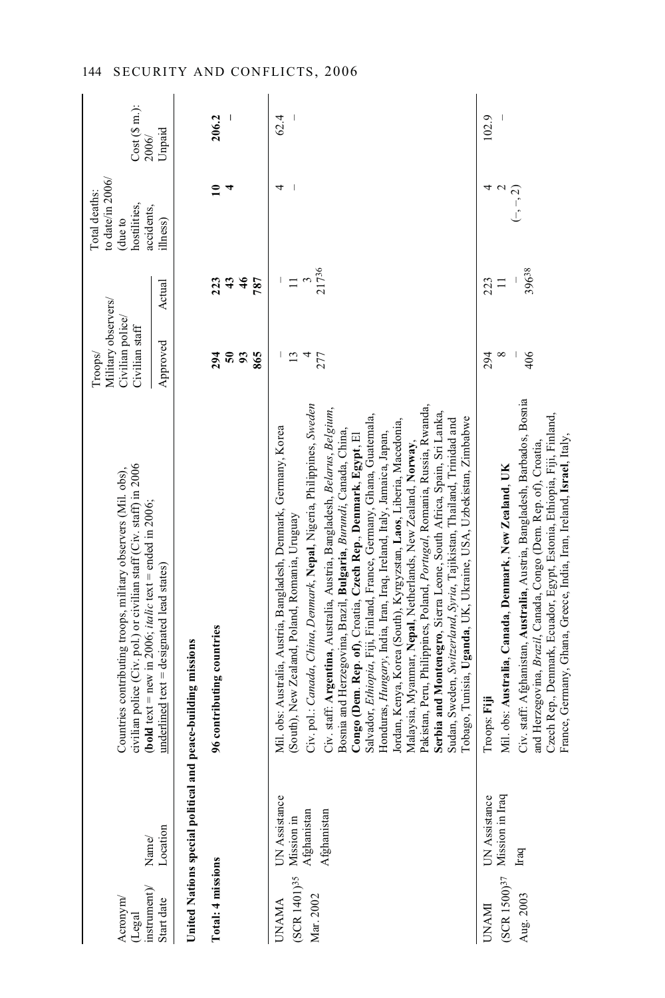| instrument)<br>Acronym<br>(Legal                      | Name/                                                                                                 | civilian police (Civ. pol.) or civilian staff (Civ. staff) in 2006<br>Countries contributing troops, military observers (Mil. obs),<br>( <b>bold</b> text = new in 2006; <i>italic</i> text = ended in 2006;                                                                                                                                                                                                                                                                                                                                                                                                                                                                                                                                                                                                                                                                                                                                                                                          | Military observers/<br>Civilian police/<br>Civilian staff<br>Troops |                                            | to date/in 2006/<br>Total deaths:<br>hostilities,<br>accidents,<br>due to | $Cost(S \, m.):$<br>2006/ |
|-------------------------------------------------------|-------------------------------------------------------------------------------------------------------|-------------------------------------------------------------------------------------------------------------------------------------------------------------------------------------------------------------------------------------------------------------------------------------------------------------------------------------------------------------------------------------------------------------------------------------------------------------------------------------------------------------------------------------------------------------------------------------------------------------------------------------------------------------------------------------------------------------------------------------------------------------------------------------------------------------------------------------------------------------------------------------------------------------------------------------------------------------------------------------------------------|---------------------------------------------------------------------|--------------------------------------------|---------------------------------------------------------------------------|---------------------------|
| Start date                                            | Location                                                                                              | $\text{underlined}$ text = designated lead states)                                                                                                                                                                                                                                                                                                                                                                                                                                                                                                                                                                                                                                                                                                                                                                                                                                                                                                                                                    | Approved                                                            | Actual                                     | ilhess)                                                                   | Unpaid                    |
|                                                       |                                                                                                       | United Nations special political and peace-building missions                                                                                                                                                                                                                                                                                                                                                                                                                                                                                                                                                                                                                                                                                                                                                                                                                                                                                                                                          |                                                                     |                                            |                                                                           |                           |
| Total: 4 missions                                     |                                                                                                       | 96 contributing countries                                                                                                                                                                                                                                                                                                                                                                                                                                                                                                                                                                                                                                                                                                                                                                                                                                                                                                                                                                             | 294<br>865<br>58                                                    | 787<br>223<br>$\boldsymbol{43}$<br>46      | $\overline{1}$<br>4                                                       | 206.2                     |
| (SCR 1401) <sup>35</sup><br>Mar. 2002<br><b>UNAMA</b> | UN Assistance<br>$\begin{array}{c} \text{Mission in}\\ \text{Afghanistan} \end{array}$<br>Afghanistan | Civ. pol.: Canada, China, Denmark, Nepal, Nigeria, Philippines, Sweden<br>Pakistan, Peru, Philippines, Poland, Portugal, Romania, Russia, Rwanda,<br>Civ. staff: Argentina, Australia, Austria, Bangladesh, Belarus, Belgium,<br>Serbia and Montenegro, Sierra Leone, South Africa, Spain, Sri Lanka,<br>Salvador, Ethiopia, Fiji, Finland, France, Germany, Ghana, Guatemala,<br>Tobago, Tunisia, Uganda, UK, Ukraine, USA, Uzbekistan, Zimbabwe<br>ordan, Kenya, Korea (South), Kyrgyzstan, Laos, Liberia, Macedonia,<br>Sudan, Sweden, Switzerland, Syria, Tajikistan, Thailand, Trinidad and<br>Mil. obs: Australia, Austria, Bangladesh, Denmark, Germany, Korea<br>Bosnia and Herzegovina, Brazil, Bulgaria, Burundi, Canada, China,<br>Honduras, Hungary, India, Iran, Iraq, Ireland, Italy, Jamaica, Japan,<br>Congo (Dem. Rep. of), Croatia, Czech Rep., Denmark, Egypt, El<br>Malaysia, Myanmar, Nepal, Netherlands, New Zealand, Norway,<br>(South), New Zealand, Poland, Romania, Uruguay | 13<br>$\overline{a}$<br>277                                         | 21736<br>$\tilde{\phantom{a}}$<br>$\equiv$ | 4                                                                         | 62.4                      |
| $(SCR 1500)^{37}$<br><b>UNAMI</b>                     | Mission in Iraq<br>UN Assistance                                                                      | Mil. obs: Australia, Canada, Denmark, New Zealand, UK<br>Troops: Fiji                                                                                                                                                                                                                                                                                                                                                                                                                                                                                                                                                                                                                                                                                                                                                                                                                                                                                                                                 | 294<br>$^{\circ}$                                                   | 223<br>$\equiv$                            |                                                                           | 102.9                     |
| Aug. 2003                                             | Iraq                                                                                                  | Civ. staff: Afghanistan, Australia, Austria, Bangladesh, Barbados, Bosnia<br>Czech Rep., Denmark, Ecuador, Egypt, Estonia, Ethiopia, Fiji, Finland,<br>France, Germany, Ghana, Greece, India, Iran, Ireland, Israel, Italy,<br>and Herzegovina, Brazil, Canada, Congo (Dem. Rep. of), Croatia,                                                                                                                                                                                                                                                                                                                                                                                                                                                                                                                                                                                                                                                                                                        | 406                                                                 | 39638                                      | $(-, -, 2)$                                                               |                           |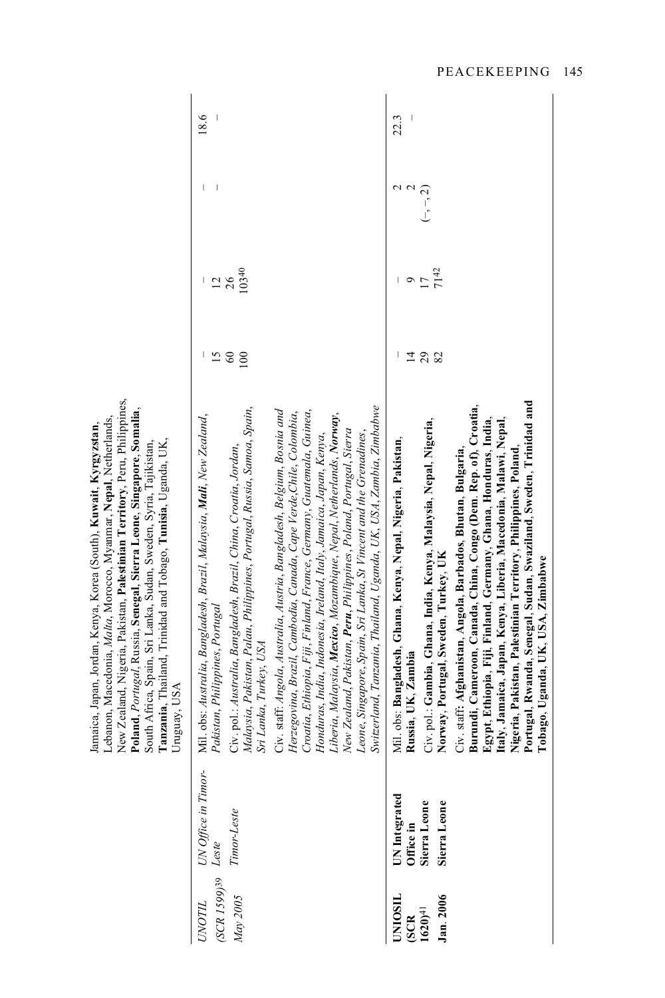|                                                                                                                                                                                                                                                                                                                                                                                                                                                 | 18.6<br>I<br>10340<br>$\frac{12}{26}$<br>$\overline{15}$<br>$\pmb{\mathcal{S}}$<br>100                                                                                                                                                                                                      |                                                                                                                                                                                                                                                                                                                                                                                                                                                                                                                                                                                      | 22.3<br>$\sim$ $\sim$<br>$\frac{6}{17}$<br>$\overline{4}$                           | $(-, -, 2)$<br>7142<br>$^{29}$                                                                            |                                                                                                                                                                                                                                                                                                                                                                                                                                                     |
|-------------------------------------------------------------------------------------------------------------------------------------------------------------------------------------------------------------------------------------------------------------------------------------------------------------------------------------------------------------------------------------------------------------------------------------------------|---------------------------------------------------------------------------------------------------------------------------------------------------------------------------------------------------------------------------------------------------------------------------------------------|--------------------------------------------------------------------------------------------------------------------------------------------------------------------------------------------------------------------------------------------------------------------------------------------------------------------------------------------------------------------------------------------------------------------------------------------------------------------------------------------------------------------------------------------------------------------------------------|-------------------------------------------------------------------------------------|-----------------------------------------------------------------------------------------------------------|-----------------------------------------------------------------------------------------------------------------------------------------------------------------------------------------------------------------------------------------------------------------------------------------------------------------------------------------------------------------------------------------------------------------------------------------------------|
| New Zealand, Nigeria, Pakistan, Palestinian Territory, Peru, Philippines,<br>Poland, Portugal, Russia, Senegal, Sierra Leone, Singapore, Somalia,<br>ebanon, Macedonia, Malta, Morocco, Myanmar, Nepal, Netherlands,<br>Jamaica, Japan, Jordan, Kenya, Korea (South), Kuwait, Kyrgyzstan,<br>Tanzania, Thailand, Trinidad and Tobago, Tunisia, Uganda, UK,<br>South Africa, Spain, Sri Lanka, Sudan, Sweden, Syria, Tajikistan,<br>Uruguay, USA | Malaysia, Pakistan, Palau, Philippines, Portugal, Russia, Samoa, Spain,<br>Mil. obs: Australia, Bangladesh, Brazil, Malaysia, M <b>ali</b> , New Zealand,<br>Civ. pol.: Australia, Bangladesh, Brazil, China, Croatia, Jordan,<br>Pakistan, Philippines, Portugal<br>Sri Lanka, Turkey, USA | Switzerland, Tanzania, Thailand, Uganda, UK, USA, Zambia, Zimbabwe<br>Croatia, Ethiopia, Fiji, Finland, France, Germany, Guatemala, Guinea,<br>Civ. staff: Angola, Australia, Austria, Bangladesh, Belgium, Bosnia and<br>Herzegovina, Brazil, Cambodia, Canada, Cape Verde,Chile, Colombia,<br>Liberia, Malaysia, Mexico, Mozambique, Nepal, Netherlands, Norway,<br>New Zealand, Pakistan, Peru, Philippines, Poland, Portugal, Sierra<br>Leone, Singapore, Spain, Sri Lanka, St Vincent and the Grenadines,<br>Honduras, India, Indonesia, Ireland, Italy, Jamaica, Japan, Kenya, | Mil. obs: Bangladesh, Ghana, Kenya, Nepal, Nigeria, Pakistan,<br>Russia, UK, Zambia | Civ. pol.: Gambia, Ghana, India, Kenya, Malaysia, Nepal, Nigeria,<br>Norway, Portugal, Sweden, Turkey, UK | Portugal, Rwanda, Senegal, Sudan, Swaziland, Sweden, Trinidad and<br>Burundi, Cameroon, Canada, China, Congo (Dem. Rep. of), Croatia,<br>Italy, Jamaica, Japan, Kenya, Liberia, Macedonia, Malawi, Nepal,<br>Egypt, Ethiopia, Fiji, Finland, Germany, Ghana, Honduras, India,<br>Civ. staff: Afghanistan, Angola, Barbados, Bhutan, Bulgaria,<br>Nigeria, Pakistan, Palestinian Territory, Philippines, Poland<br>Tobago, Uganda, UK, USA, Zimbabwe |
|                                                                                                                                                                                                                                                                                                                                                                                                                                                 | UNOTIL            UN Office in Timor-<br>'SCR 1599)39   Leste<br>Timor-Leste                                                                                                                                                                                                                |                                                                                                                                                                                                                                                                                                                                                                                                                                                                                                                                                                                      | UN Integrated<br>Office in<br>Sierra Leone                                          | Sierra Leone                                                                                              |                                                                                                                                                                                                                                                                                                                                                                                                                                                     |
|                                                                                                                                                                                                                                                                                                                                                                                                                                                 | May 2005                                                                                                                                                                                                                                                                                    |                                                                                                                                                                                                                                                                                                                                                                                                                                                                                                                                                                                      | UNIOSIL<br>(SCR<br>1620) <sup>41</sup>                                              | an. 2006                                                                                                  |                                                                                                                                                                                                                                                                                                                                                                                                                                                     |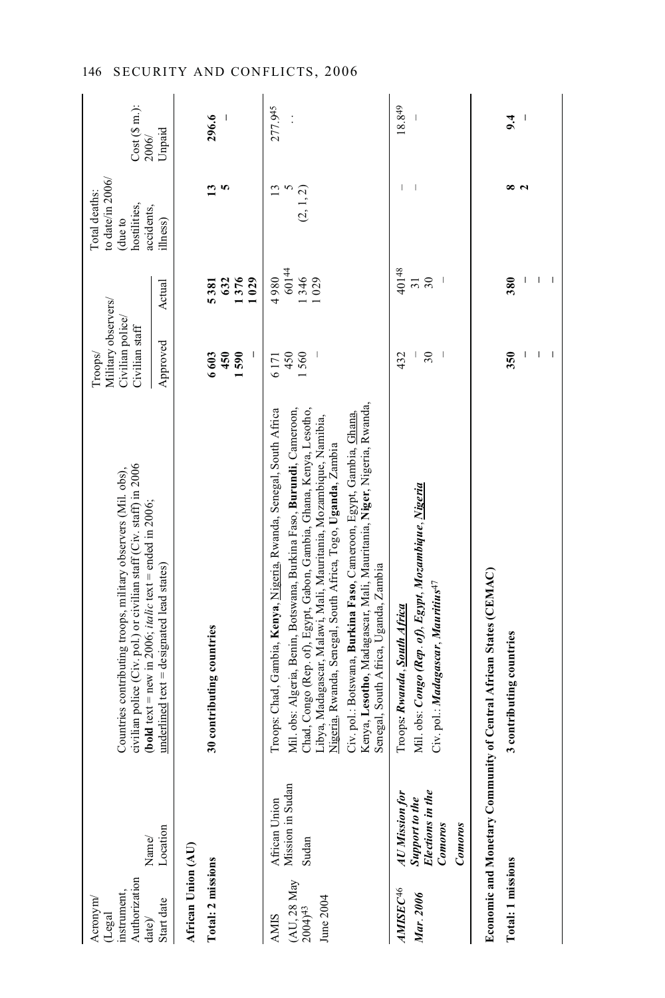| Name/<br>Authorization<br>instrument,<br>Acronym/<br>(Legal<br>date)/                                           | civilian police (Civ. pol.) or civilian staff (Civ. staff) in 2006<br>Countries contributing troops, military observers (Mil. obs),<br>( <b>bold</b> text = new in 2006; <i>italic</i> text = ended in 2006;                                                                                                                                                                                                                                                                                                                                    | Military observers/<br>Civilian police/<br>Civilian staff<br>Troops/ |                                | to date/in 2006/<br>Total deaths:<br>(due to<br>hostilities,<br>accidents, | $Cost(S \, m.):$<br>2006/ |
|-----------------------------------------------------------------------------------------------------------------|-------------------------------------------------------------------------------------------------------------------------------------------------------------------------------------------------------------------------------------------------------------------------------------------------------------------------------------------------------------------------------------------------------------------------------------------------------------------------------------------------------------------------------------------------|----------------------------------------------------------------------|--------------------------------|----------------------------------------------------------------------------|---------------------------|
| Location<br>Start date                                                                                          | underlined text = designated lead states)                                                                                                                                                                                                                                                                                                                                                                                                                                                                                                       | Approved                                                             | Actual                         | llness)                                                                    | Unpaid                    |
| African Union (AU)                                                                                              |                                                                                                                                                                                                                                                                                                                                                                                                                                                                                                                                                 |                                                                      |                                |                                                                            |                           |
| Total: 2 missions                                                                                               | 30 contributing countries                                                                                                                                                                                                                                                                                                                                                                                                                                                                                                                       | 6603<br>450<br>1590                                                  | 632<br>1376<br>1029<br>5381    | S<br>13                                                                    | 296.6                     |
| Mission in Sudan<br>African Union<br>Sudan<br>(AU, 28 May<br>June 2004<br>$2004$ <sup>43</sup><br><b>AMIS</b>   | Kenya, Lesotho, Madagascar, Mali, Mauritania, Niger, Nigeria, Rwanda,<br>Troops: Chad, Gambia, Kenya, Nigeria, Rwanda, Senegal, South Africa<br>Mil. obs: Algeria, Benin, Botswana, Burkina Faso, Burundi, Cameroon,<br>Chad, Congo (Rep. of), Egypt, Gabon, Gambia, Ghana, Kenya, Lesotho,<br>Civ. pol.: Botswana, Burkina Faso, Cameroon, Egypt, Gambia, Ghana,<br>Libya, Madagascar, Malawi, Mali, Mauritania, Mozambique, Namibia,<br>Nigeria, Rwanda, Senegal, South Africa, Togo, Uganda, Zambia<br>Senegal, South Africa, Uganda, Zambia | 1560<br>450<br>6171                                                  | 60144<br>1346<br>1029<br>4980  | 13<br>(2, 1, 2)                                                            | 277.945<br>$\vdots$       |
| Elections in the<br>AU Mission for<br>Support to the<br>Comoros<br>Comoros<br>AMISEC <sup>46</sup><br>Mar. 2006 | Mil. obs: Congo (Rep. of), Egypt, Mozambique, <u>Nigeria</u><br>Civ. pol.: Madagascar, Mauritius <sup>47</sup><br>Troops: Rwanda, South Africa                                                                                                                                                                                                                                                                                                                                                                                                  | $\overline{30}$<br>432                                               | 40148<br>30<br>$\overline{31}$ |                                                                            | 18.849                    |
| <b>Economic and Monetary Commun</b>                                                                             | nity of Central African States (CEMAC)                                                                                                                                                                                                                                                                                                                                                                                                                                                                                                          |                                                                      |                                |                                                                            |                           |
| <b>Total: 1 missions</b>                                                                                        | 3 contributing countries                                                                                                                                                                                                                                                                                                                                                                                                                                                                                                                        | 350                                                                  | 380                            | œ                                                                          | 9.4                       |
|                                                                                                                 |                                                                                                                                                                                                                                                                                                                                                                                                                                                                                                                                                 | I                                                                    | I                              |                                                                            |                           |
|                                                                                                                 |                                                                                                                                                                                                                                                                                                                                                                                                                                                                                                                                                 | $\begin{array}{c} \end{array}$                                       | T<br>I                         |                                                                            |                           |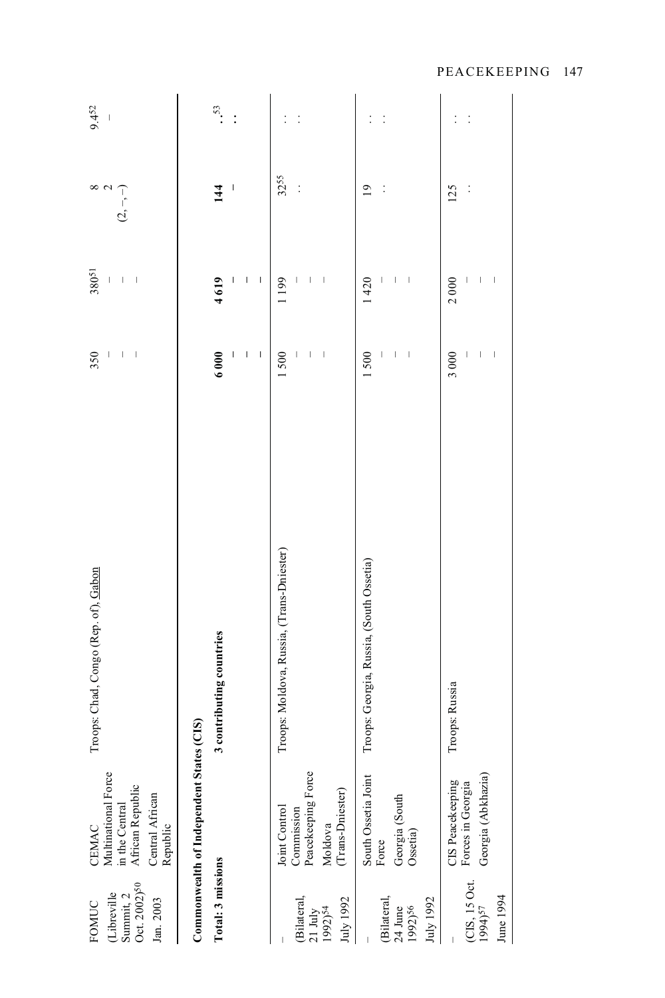| Summit, 2<br>Oct. 2002) <sup>50</sup><br>(Libreville<br>Jan. 2003<br>FOMUC | Multinational Force<br>in the Central<br>African Republic<br>Central African<br>Republic<br>CEMAC | Troops: Chad, Congo (Rep. of), Gabon      | 350<br>$\begin{array}{c} \rule{0pt}{2.5ex} \rule{0pt}{2.5ex} \rule{0pt}{2.5ex} \rule{0pt}{2.5ex} \rule{0pt}{2.5ex} \rule{0pt}{2.5ex} \rule{0pt}{2.5ex} \rule{0pt}{2.5ex} \rule{0pt}{2.5ex} \rule{0pt}{2.5ex} \rule{0pt}{2.5ex} \rule{0pt}{2.5ex} \rule{0pt}{2.5ex} \rule{0pt}{2.5ex} \rule{0pt}{2.5ex} \rule{0pt}{2.5ex} \rule{0pt}{2.5ex} \rule{0pt}{2.5ex} \rule{0pt}{2.5ex} \rule{0$<br>Ī | 38051<br>$\mid$<br>$\bigg $    | ${}^{\circ}$<br>$\sim$<br>$(2, -, -)$ | 9.452<br>$\mid$ |
|----------------------------------------------------------------------------|---------------------------------------------------------------------------------------------------|-------------------------------------------|----------------------------------------------------------------------------------------------------------------------------------------------------------------------------------------------------------------------------------------------------------------------------------------------------------------------------------------------------------------------------------------------|--------------------------------|---------------------------------------|-----------------|
|                                                                            | Commonwealth of Independent State                                                                 | es (CIS)                                  |                                                                                                                                                                                                                                                                                                                                                                                              |                                |                                       |                 |
| Total: 3 missions                                                          |                                                                                                   | 3 contributing countries                  | 6000                                                                                                                                                                                                                                                                                                                                                                                         | 4619                           | 144                                   | $\frac{53}{2}$  |
|                                                                            |                                                                                                   |                                           | ı                                                                                                                                                                                                                                                                                                                                                                                            | I<br>ı                         | I                                     | $\vdots$        |
|                                                                            |                                                                                                   |                                           | I                                                                                                                                                                                                                                                                                                                                                                                            | I                              |                                       |                 |
|                                                                            |                                                                                                   | Troops: Moldova, Russia, (Trans-Dniester) | 1500                                                                                                                                                                                                                                                                                                                                                                                         | 1199                           | 3255                                  |                 |
| (Bilateral,                                                                | Joint Control<br>Commission                                                                       |                                           | $\bigl($                                                                                                                                                                                                                                                                                                                                                                                     | $\begin{array}{c} \end{array}$ | $\vdots$                              | $\ddot{\cdot}$  |
| 21 July<br>1992) <sup>54</sup>                                             | Peacekeeping Force                                                                                |                                           |                                                                                                                                                                                                                                                                                                                                                                                              |                                |                                       |                 |
| July 1992                                                                  | (Trans-Dniester)<br>Moldova                                                                       |                                           | $\mid$                                                                                                                                                                                                                                                                                                                                                                                       | $\mid$                         |                                       |                 |
|                                                                            |                                                                                                   |                                           |                                                                                                                                                                                                                                                                                                                                                                                              |                                |                                       |                 |
|                                                                            | South Ossetia Joint                                                                               | Troops: Georgia, Russia, (South Ossetia)  | 1500                                                                                                                                                                                                                                                                                                                                                                                         | 1420                           | $\overline{0}$                        |                 |
| (Bilateral,<br>$24$ June                                                   | Georgia (South<br>Force                                                                           |                                           | $\overline{\phantom{a}}$                                                                                                                                                                                                                                                                                                                                                                     | $\begin{array}{c} \end{array}$ |                                       | $\ddot{\cdot}$  |
| 1992)56                                                                    | Ossetia)                                                                                          |                                           | Ī                                                                                                                                                                                                                                                                                                                                                                                            | $\overline{\phantom{a}}$       |                                       |                 |
| July 1992                                                                  |                                                                                                   |                                           |                                                                                                                                                                                                                                                                                                                                                                                              |                                |                                       |                 |
|                                                                            | CIS Peacekeeping                                                                                  | Troops: Russia                            | 3000                                                                                                                                                                                                                                                                                                                                                                                         | 2000                           | 125                                   | $\vdots$        |
| (CIS, 15 Oct.<br>1994) <sup>57</sup>                                       | Forces in Georgia                                                                                 |                                           | Ï                                                                                                                                                                                                                                                                                                                                                                                            | I                              | $\vdots$                              | $\vdots$        |
| June 1994                                                                  | Georgia (Abkhazia)                                                                                |                                           | $\mid$                                                                                                                                                                                                                                                                                                                                                                                       | I                              |                                       |                 |
|                                                                            |                                                                                                   |                                           |                                                                                                                                                                                                                                                                                                                                                                                              |                                |                                       |                 |
|                                                                            |                                                                                                   |                                           |                                                                                                                                                                                                                                                                                                                                                                                              |                                |                                       |                 |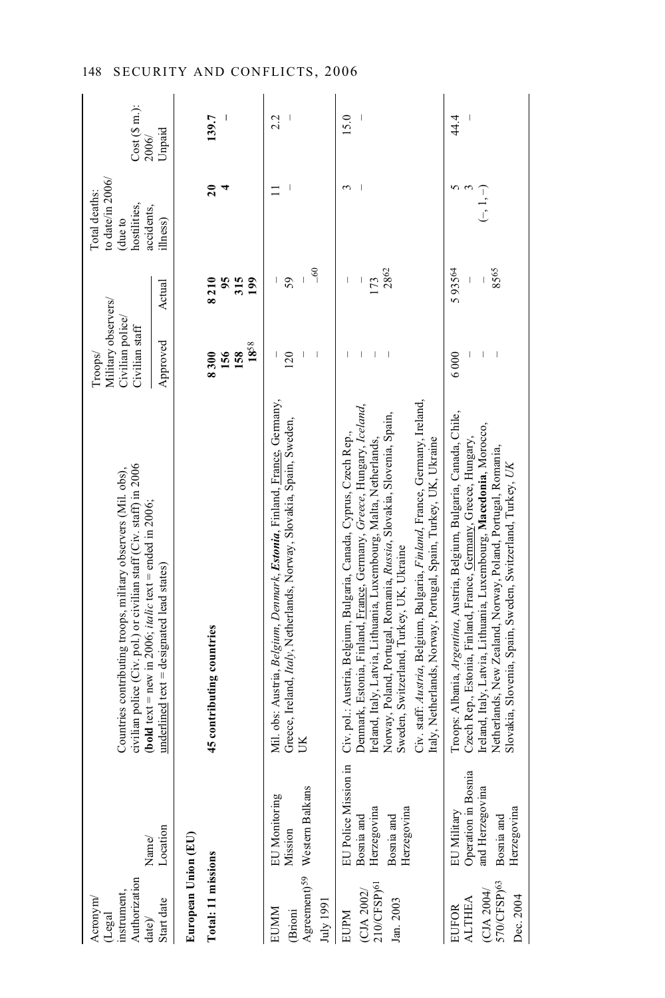| Authorization<br>nstrument,<br>Acronym<br>Legal<br>date)/         | Name/                                                                              | civilian police (Civ. pol.) or civilian staff (Civ. staff) in 2006<br>Countries contributing troops, military observers (Mil. obs),<br><b>bold</b> text = new in 2006; <i>italic</i> text = ended in 2006;                                                                                                                                                                                                                                                                               | Military observers/<br>Civilian police/<br>Civilian staff<br>Troops/ |                          | to date/in $2006/$<br>Total deaths:<br>hostilities,<br>accidents,<br>(due to | $Cost(S \n m.):$<br>2006/ |
|-------------------------------------------------------------------|------------------------------------------------------------------------------------|------------------------------------------------------------------------------------------------------------------------------------------------------------------------------------------------------------------------------------------------------------------------------------------------------------------------------------------------------------------------------------------------------------------------------------------------------------------------------------------|----------------------------------------------------------------------|--------------------------|------------------------------------------------------------------------------|---------------------------|
| Start date                                                        | Location                                                                           | $underlined text = desired lead states)$                                                                                                                                                                                                                                                                                                                                                                                                                                                 | Approved                                                             | Actual                   | ilhess)                                                                      | Unpaid                    |
| European Union (EU)                                               |                                                                                    |                                                                                                                                                                                                                                                                                                                                                                                                                                                                                          |                                                                      |                          |                                                                              |                           |
| Total: 11 missions                                                |                                                                                    | 45 contributing countries                                                                                                                                                                                                                                                                                                                                                                                                                                                                | 1858<br>156<br>158<br>8300                                           | 8210<br>95<br>315<br>199 | $\overline{20}$                                                              | 139.7                     |
| July 1991<br>EUMM<br>(Brioni                                      | Agreement) <sup>59</sup> Western Balkans<br><b>EU</b> Monitoring<br>Mission        | Mil. obs: Austria, Belgium, Denmark, Estonia, Finland, France, Germany,<br>Greece, Ireland, Italy, Netherlands, Norway, Slovakia, Spain, Sweden,                                                                                                                                                                                                                                                                                                                                         | 120                                                                  | $\frac{60}{1}$<br>59     |                                                                              | 2.2                       |
| 210/CFSP) <sup>61</sup><br>(CJA 2002/<br>Jan. 2003<br><b>EUPM</b> | EU Police Mission in<br>Herzegovina<br>Herzegovina<br>Bosnia and<br>Bosnia and     | Civ. staff: Austria, Belgium, Bulgaria, Finland, France, Germany, Ireland,<br>Denmark, Estonia, Finland, France, Germany, Greece, Hungary, Iceland,<br>Norway, Poland, Portugal, Romania, Russia, Slovakia, Slovenia, Spain,<br>Civ. pol.: Austria, Belgium, Bulgaria, Canada, Cyprus, Czech Rep.,<br>Italy, Netherlands, Norway, Portugal, Spain, Turkey, UK, Ukraine<br>Ireland, Italy, Latvia, Lithuania, Luxembourg, Malta, Netherlands,<br>Sweden, Switzerland, Turkey, UK, Ukraine |                                                                      | 2862<br>173              | $\mathbf{\tilde{c}}$                                                         | 15.0                      |
| 570/CFSP)63<br>(CJA 2004/<br>Dec. 2004<br><b>ALTHEA</b><br>EUFOR  | Operation in Bosnia<br>and Herzegovina<br>Herzegovina<br>EU Military<br>Bosnia and | Troops: Albania, Argentina, Austria, Belgium, Bulgaria, Canada, Chile,<br>Ireland, Italy, Latvia, Lithuania, Luxembourg, Macedonia, Morocco,<br>Czech Rep., Estonia, Finland, France, Germany, Greece, Hungary,<br>Netherlands, New Zealand, Norway, Poland, Portugal, Romania,<br>Slovakia, Slovenia, Spain, Sweden, Switzerland, Turkey, UK                                                                                                                                            | 6000                                                                 | 593564<br>8565           | 5<br>$(-, 1, -)$                                                             | 44.4                      |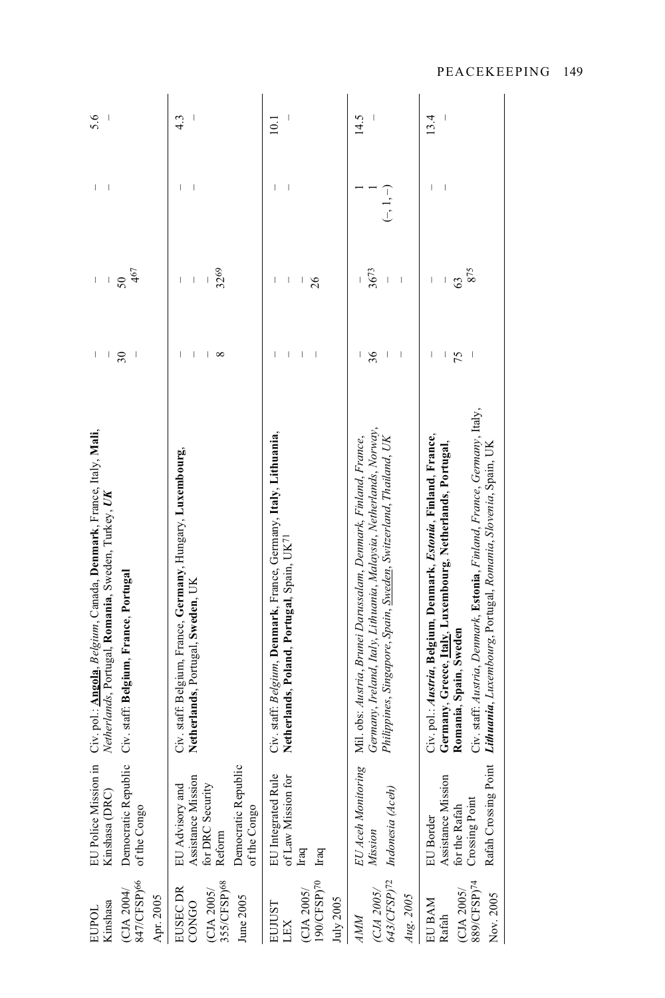| 847/CFSP) <sup>66</sup><br>(CJA 2004/<br>Apr. 2005<br>Kinshasa<br>EUPOL | EU Police Mission in<br>Democratic Republic<br>Kinshasa (DRC)<br>of the Congo                                     | Civ. pol.: Angola, Belgium, Canada, Denmark, France, Italy, Mali,<br>Netherlands, Portugal, Romania, Sweden, Turkey, UK<br>Civ. staff: Belgium, France, Portugal                                                                                                                                                   | I<br>I<br>$30\,$                                                | 467<br>50<br>I<br>$\mid$                                                                                                                                                                                                                                                                                                                                                                                                        | I<br>I                        | 5.6                             |
|-------------------------------------------------------------------------|-------------------------------------------------------------------------------------------------------------------|--------------------------------------------------------------------------------------------------------------------------------------------------------------------------------------------------------------------------------------------------------------------------------------------------------------------|-----------------------------------------------------------------|---------------------------------------------------------------------------------------------------------------------------------------------------------------------------------------------------------------------------------------------------------------------------------------------------------------------------------------------------------------------------------------------------------------------------------|-------------------------------|---------------------------------|
| 355/CFSP) <sup>68</sup><br>EUSEC DR<br>(CJA 2005/<br>June 2005<br>CONGO | Democratic Republic<br>Assistance Mission<br>for DRC Security<br><b>EU</b> Advisory and<br>of the Congo<br>Reform | Civ. staff: Belgium, France, Germany, Hungary, Luxembourg,<br>Netherlands, Portugal, Sweden, UK                                                                                                                                                                                                                    | I<br>$\begin{array}{c} \hline \end{array}$<br>ı<br>${}^{\circ}$ | 3269<br>$\begin{array}{c} \end{array}$<br>$\begin{array}{c} \rule{0pt}{2.5ex} \rule{0pt}{2.5ex} \rule{0pt}{2.5ex} \rule{0pt}{2.5ex} \rule{0pt}{2.5ex} \rule{0pt}{2.5ex} \rule{0pt}{2.5ex} \rule{0pt}{2.5ex} \rule{0pt}{2.5ex} \rule{0pt}{2.5ex} \rule{0pt}{2.5ex} \rule{0pt}{2.5ex} \rule{0pt}{2.5ex} \rule{0pt}{2.5ex} \rule{0pt}{2.5ex} \rule{0pt}{2.5ex} \rule{0pt}{2.5ex} \rule{0pt}{2.5ex} \rule{0pt}{2.5ex} \rule{0$<br>I | I<br>$\overline{\phantom{a}}$ | 4.3<br>$\overline{\phantom{a}}$ |
| 90/CFSP)70<br>(CJA 2005<br>July $2005$<br>EUJUST<br>LEX                 | EU Integrated Rule<br>of Law Mission for<br>Iraq<br>Iraq                                                          | Civ. staff: Belgium, Denmark, France, Germany, Italy, Lithuania,<br>Netherlands, Poland, Portugal, Spain, UK <sup>71</sup>                                                                                                                                                                                         | I<br>ı<br>$\overline{\phantom{a}}$                              | I<br>26<br>I                                                                                                                                                                                                                                                                                                                                                                                                                    | I                             | 10.1                            |
| 643/CFSP)72<br><b>СЛА 2005/</b><br>Aug. 2005<br>AMM                     | EU Aceh Monitoring<br>Indonesia (Aceh)<br>Mission                                                                 | Germany, Ireland, Italy, Lithuania, Malaysia, Netherlands, Norway,<br>Mil. obs: Austria, Brunei Darussalam, Denmark, Finland, France,<br>Philippines, Singapore, Spain, Sweden, Switzerland, Thailand, UK                                                                                                          | 36<br>$\mid$<br>I<br>I                                          | 3673<br>$\begin{array}{c} \hline \end{array}$<br>$\overline{\phantom{a}}$                                                                                                                                                                                                                                                                                                                                                       | $(-, 1, -)$                   | 14.5                            |
| 889/CFSP)74<br>(CJA 2005/<br>Nov. 2005<br>EU BAM<br>Rafah               | Rafah Crossing Point<br>Assistance Mission<br>for the Rafah<br>Crossing Point<br>EU Border                        | Civ. staff. Austria, Denmark, Estonia, Finland, France, Germany, Italy,<br>Civ. pol.: Austria, Belgium, Denmark, Estonia, Finland, France,<br>Germany, Greece, <i><u>Italy</u></i> , Luxembourg, Netherlands, Portugal,<br>Lithuania, Luxembourg, Portugal, Romania, Slovenia, Spain, UK<br>Romania, Spain, Sweden | I<br>I<br>75<br>$\mid$                                          | 875<br>63<br>$\overline{\phantom{a}}$<br>I                                                                                                                                                                                                                                                                                                                                                                                      |                               | 13.4<br>I                       |

PEACEKEEPING 149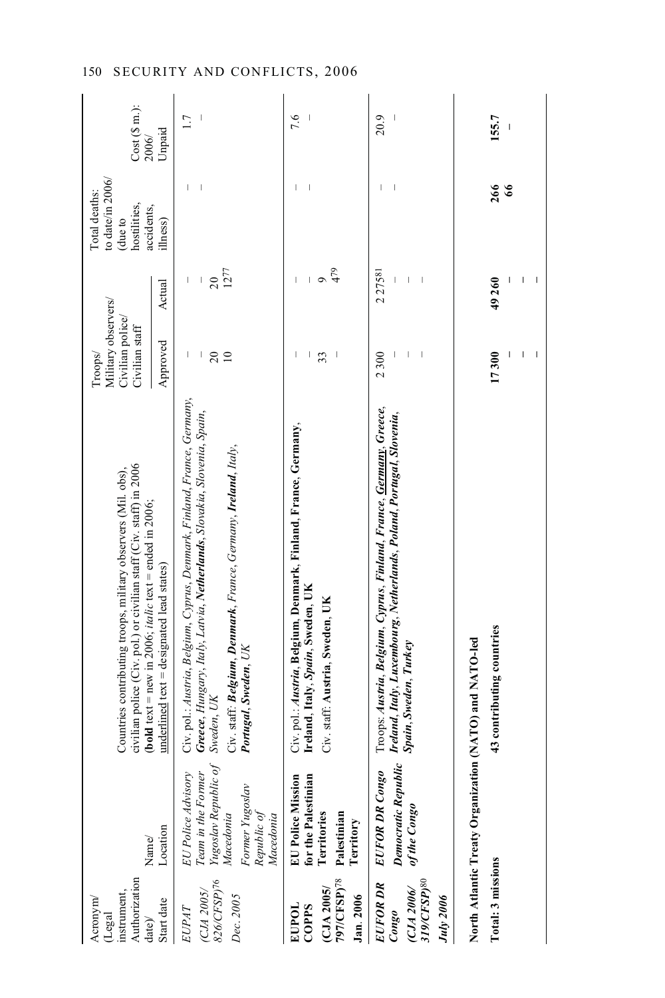| Authorization<br>instrument,<br>Acronym<br>Legal<br>date)              | Name/                                                                                                                        | civilian police (Civ. pol.) or civilian staff (Civ. staff) in 2006<br>Countries contributing troops, military observers (Mil. obs),<br><b>(bold text</b> = new in 2006; <i>italic</i> text = ended in 2006;                                                | Military observers/<br>Civilian police/<br>Civilian staff<br>Troops/ |                              | to date/in 2006/<br>Total deaths:<br>hostilities,<br>accidents,<br>(due to | $Cost(S \n m.):$<br>2006/ |
|------------------------------------------------------------------------|------------------------------------------------------------------------------------------------------------------------------|------------------------------------------------------------------------------------------------------------------------------------------------------------------------------------------------------------------------------------------------------------|----------------------------------------------------------------------|------------------------------|----------------------------------------------------------------------------|---------------------------|
| Start date                                                             | Location                                                                                                                     | underlined text = designated lead states)                                                                                                                                                                                                                  | Approved                                                             | Actual                       | ilhess)                                                                    | Unpaid                    |
| 826/CFSP)76<br><b>CJA</b> 2005/<br>Dec. 2005<br>EUPAT                  | Team in the Former<br>Yugoslav Republic of<br>EU Police Advisory<br>Former Yugoslav<br>Macedonia<br>Republic of<br>Macedonia | Civ. pol.: Austria, Belgium, Cyprus, Denmark, Finland, France, Germany,<br>Greece, Hungary, Italy, Latvia, Netherlands, Slovakia, Slovenia, Spain,<br>Civ. staff: Belgium, Denmark, France, Germany, Ireland, Italy,<br>Portugal, Sweden, UK<br>Sweden, UK | $\frac{20}{10}$<br>I                                                 | 1277<br>$\overline{20}$<br>I | I                                                                          | 1.7                       |
| 797/CFSP)78<br>CLJA 2005<br>Jan. 2006<br>EUPOL<br>COPPS                | EU Police Mission<br>for the Palestinian<br>Territories<br>Palestinian<br>Territory                                          | Civ. pol.: Austria, Belgium, Denmark, Finland, France, Germany,<br>Ireland, Italy, Spain, Sweden, UK<br>Civ. staff: Austria, Sweden, UK                                                                                                                    | $\overline{\phantom{a}}$<br>33                                       | 479<br>$\circ$<br>I<br>I     | $\overline{\phantom{a}}$                                                   | 7.6                       |
| 319/CFSP) <sup>80</sup><br>EUFOR DR<br>(CJA 2006<br>July 2006<br>Congo | يا<br><b>EUFOR DR Congo</b><br>Democratic Republi<br>of the Congo                                                            | Troops: Austria, Belgium, Cyprus, Finland, France, <u>Germany</u> , Greece,<br>Ireland, Italy, Luxembourg, Netherlands, Poland, Portugal, Slovenia,<br>Spain, Sweden, Turkey                                                                               | I<br>2300                                                            | 227581<br>I<br>$\,$ $\,$     | Ï                                                                          | 20.9                      |
| Total: 3 missions                                                      |                                                                                                                              | 43 contributing countries<br>North Atlantic Treaty Organization (NATO) and NATO-led                                                                                                                                                                        | 17300                                                                | 49260                        | 266                                                                        | 155.7                     |
|                                                                        |                                                                                                                              |                                                                                                                                                                                                                                                            |                                                                      | I                            | 66                                                                         | $\overline{\phantom{a}}$  |
|                                                                        |                                                                                                                              |                                                                                                                                                                                                                                                            |                                                                      |                              |                                                                            |                           |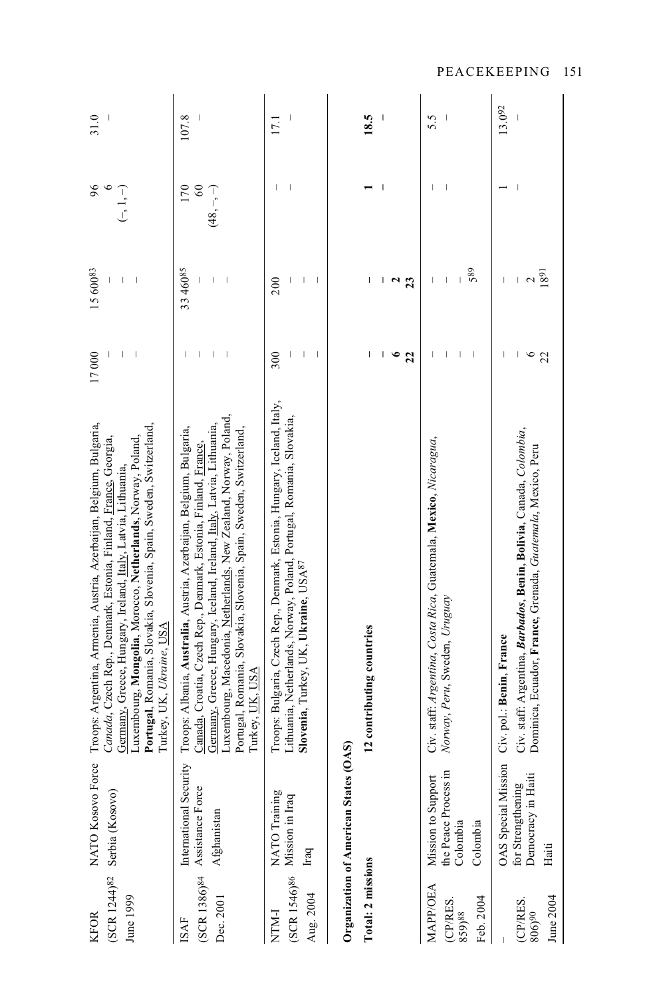| (SCR 1244) <sup>82</sup><br>June 1999<br><b>KFOR</b> | NATO Kosovo Force<br>Serbia (Kosovo)                                         | Troops: Argentina, Armenia, Austria, Azerbaijan, Belgium, Bulgaria,<br>Portugal, Romania, Slovakia, Slovenia, Spain, Sweden, Switzerland,<br>Luxembourg, Mongolia, Morocco, Netherlands, Norway, Poland,<br>Canada, Czech Rep., Denmark, Estonia, Finland, France, Georgia,<br>Germany, Greece, Hungary, Ireland, Italy, Latvia, Lithuania,<br>Turkey, UK, Ukraine, USA      | 17000                | 15 60083<br>I<br>$\overline{\phantom{a}}$  | 96<br>$\left(-1, -\right)$       | 31.0   |
|------------------------------------------------------|------------------------------------------------------------------------------|------------------------------------------------------------------------------------------------------------------------------------------------------------------------------------------------------------------------------------------------------------------------------------------------------------------------------------------------------------------------------|----------------------|--------------------------------------------|----------------------------------|--------|
| (SCR 1386) <sup>84</sup><br>Dec. 2001<br><b>ISAF</b> | International Security<br>Assistance Force<br>Afghanistan                    | Luxembourg, Macedonia, Netherlands, New Zealand, Norway, Poland,<br>Germany, Greece, Hungary, Iceland, Ireland, Italy, Latvia, Lithuania,<br>Portugal, Romania, Slovakia, Slovenia, Spain, Sweden, Switzerland,<br>Troops: Albania, Australia, Austria, Azerbaijan, Belgium, Bulgaria,<br>Canada, Croatia, Czech Rep., Denmark, Estonia, Finland, France,<br>Turkey, UK, USA |                      | 33 46085                                   | 170<br>$\degree$<br>$(48, -, -)$ | 107.8  |
| Aug. 2004<br>NTM-I                                   | NATO Training<br>$(SCR 1546)$ <sup>86</sup> Mission in Iraq<br>$_{\rm Iraq}$ | Troops: Bulgaria, Czech Rep., Denmark, Estonia, Hungary, Iceland, Italy,<br>Lithuania, Netherlands, Norway, Poland, Portugal, Romania, Slovakia,<br>Slovenia, Turkey, UK, Ukraine, USA <sup>87</sup>                                                                                                                                                                         | 300                  | 200                                        |                                  | 17.1   |
| Total: 2 missions                                    | Organization of American States                                              | 12 contributing countries<br>(A)                                                                                                                                                                                                                                                                                                                                             |                      |                                            |                                  | 18.5   |
|                                                      |                                                                              |                                                                                                                                                                                                                                                                                                                                                                              | $\bullet$<br>I<br>22 | I<br>$\frac{2}{3}$                         | -1                               |        |
| <b>MAPP/OEA</b><br>Feb. 2004<br>(CP/RES.<br>859)88   | the Peace Process in<br>Mission to Support<br>Colombia<br>Colombia           | Civ. staff: Argentina, Costa Rica, Guatemala, Mexico, Nicaragua,<br>Norway, Peru, Sweden, Uruguay                                                                                                                                                                                                                                                                            |                      | 589<br>$\overline{\phantom{a}}$<br>$\vert$ |                                  | 5.5    |
| June 2004<br>(CP/RES.<br>806)90                      | OAS Special Mission<br>Democracy in Haiti<br>for Strengthening<br>Haiti      | Civ. staff: Argentina, Barbados, Benin, Bolivia, Canada, Colombia,<br>Dominica, Ecuador, France, Grenada, Guatemala, Mexico, Peru<br>Civ. pol.: Benin, France                                                                                                                                                                                                                | $\circ$<br>22        | 1891<br>$\sim$                             |                                  | 13.092 |

PEACEKEEPING 151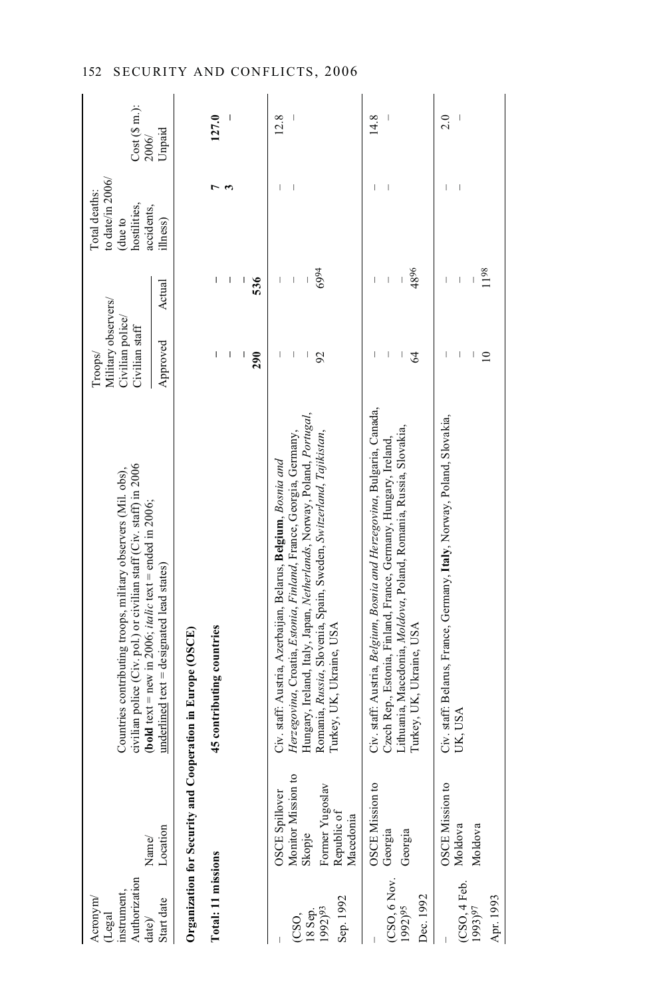| Authorization<br><i>instrument</i><br>Acronym<br>(Legal<br>date)/ | Name/                                       | civilian police (Civ. pol.) or civilian staff (Civ. staff) in 2006<br>Countries contributing troops, military observers (Mil. obs),<br><b>(bold text</b> = new in 2006; <i>italic</i> text = ended in 2006; | Military observers/<br>Civilian police/<br>Civilian staff<br>Troops/ |                                                                                                                                                                                                                                                                                                                                                                                  | to date/in $2006/$<br>Total deaths:<br>hostilities,<br>accidents,<br>due to | Cost(Sm.):<br>2006/ |
|-------------------------------------------------------------------|---------------------------------------------|-------------------------------------------------------------------------------------------------------------------------------------------------------------------------------------------------------------|----------------------------------------------------------------------|----------------------------------------------------------------------------------------------------------------------------------------------------------------------------------------------------------------------------------------------------------------------------------------------------------------------------------------------------------------------------------|-----------------------------------------------------------------------------|---------------------|
| Start date                                                        | Location                                    | $underline{d}$ text = designated lead states)                                                                                                                                                               | Approved                                                             | Actual                                                                                                                                                                                                                                                                                                                                                                           | illness)                                                                    | Unpaid              |
|                                                                   |                                             | Organization for Security and Cooperation in Europe (OSCE)                                                                                                                                                  |                                                                      |                                                                                                                                                                                                                                                                                                                                                                                  |                                                                             |                     |
| Total: 11 missions                                                |                                             | 45 contributing countries                                                                                                                                                                                   | I                                                                    | I                                                                                                                                                                                                                                                                                                                                                                                |                                                                             | 127.0               |
|                                                                   |                                             |                                                                                                                                                                                                             | I                                                                    | $\overline{\phantom{a}}$                                                                                                                                                                                                                                                                                                                                                         |                                                                             |                     |
|                                                                   |                                             |                                                                                                                                                                                                             | 290                                                                  | 536                                                                                                                                                                                                                                                                                                                                                                              |                                                                             |                     |
|                                                                   | Monitor Mission to<br>OSCE Spillover        | Herzegovina, Croatia, Estonia, Finland, France, Georgia, Germany,<br>Civ. staff: Austria, Azerbaijan, Belarus, Belgium, Bosnia and                                                                          |                                                                      | I                                                                                                                                                                                                                                                                                                                                                                                |                                                                             | 12.8                |
| 18 Sep.<br>(CSO,                                                  | Skopje                                      | Hungary, Ireland, Italy, Japan, Netherlands, Norway, Poland, Portugal,                                                                                                                                      | I<br>$\begin{array}{c} \hline \end{array}$                           | $\mid$                                                                                                                                                                                                                                                                                                                                                                           |                                                                             |                     |
| Sep. 1992<br>1992)93                                              | Former Yugoslav<br>Republic of<br>Macedonia | Romania, Russia, Slovenia, Spain, Sweden, Switzerland, Tajikistan,<br>Turkey, UK, Ukraine, USA                                                                                                              | 92                                                                   | 6994                                                                                                                                                                                                                                                                                                                                                                             |                                                                             |                     |
|                                                                   |                                             |                                                                                                                                                                                                             |                                                                      |                                                                                                                                                                                                                                                                                                                                                                                  |                                                                             |                     |
|                                                                   | OSCE Mission to                             | Civ. staff: Austria, Belgium, Bosnia and Herzegovina, Bulgaria, Canada,                                                                                                                                     |                                                                      |                                                                                                                                                                                                                                                                                                                                                                                  |                                                                             | 14.8                |
| (CSO, 6 Nov. Georgia                                              |                                             | Czech Rep., Estonia, Finland, France, Germany, Hungary, Ireland,                                                                                                                                            | I                                                                    | $\overline{\phantom{a}}$                                                                                                                                                                                                                                                                                                                                                         |                                                                             |                     |
| Dec. 1992<br>1992) <sup>95</sup>                                  | Georgia                                     | Lithuania, Macedonia, Moldova, Poland, Romania, Russia, Slovakia,<br>Turkey, UK, Ukraine, USA                                                                                                               | $\mathcal{Z}$<br>I                                                   | 4896                                                                                                                                                                                                                                                                                                                                                                             |                                                                             |                     |
|                                                                   | OSCE Mission to                             | Civ. staff: Belarus, France, Germany, Italy, Norway, Poland, Slovakia,                                                                                                                                      |                                                                      | $\begin{array}{c} \rule{0pt}{2.5ex} \rule{0pt}{2.5ex} \rule{0pt}{2.5ex} \rule{0pt}{2.5ex} \rule{0pt}{2.5ex} \rule{0pt}{2.5ex} \rule{0pt}{2.5ex} \rule{0pt}{2.5ex} \rule{0pt}{2.5ex} \rule{0pt}{2.5ex} \rule{0pt}{2.5ex} \rule{0pt}{2.5ex} \rule{0pt}{2.5ex} \rule{0pt}{2.5ex} \rule{0pt}{2.5ex} \rule{0pt}{2.5ex} \rule{0pt}{2.5ex} \rule{0pt}{2.5ex} \rule{0pt}{2.5ex} \rule{0$ |                                                                             | 2.0                 |
| $(CSO, 4 \text{ Feb.} 1993)^{97}$                                 | Moldova                                     | UK, USA                                                                                                                                                                                                     |                                                                      | $\overline{\phantom{a}}$                                                                                                                                                                                                                                                                                                                                                         |                                                                             |                     |
|                                                                   | Moldova                                     |                                                                                                                                                                                                             | $\approx$                                                            | 1198                                                                                                                                                                                                                                                                                                                                                                             |                                                                             |                     |
| Apr. 1993                                                         |                                             |                                                                                                                                                                                                             |                                                                      |                                                                                                                                                                                                                                                                                                                                                                                  |                                                                             |                     |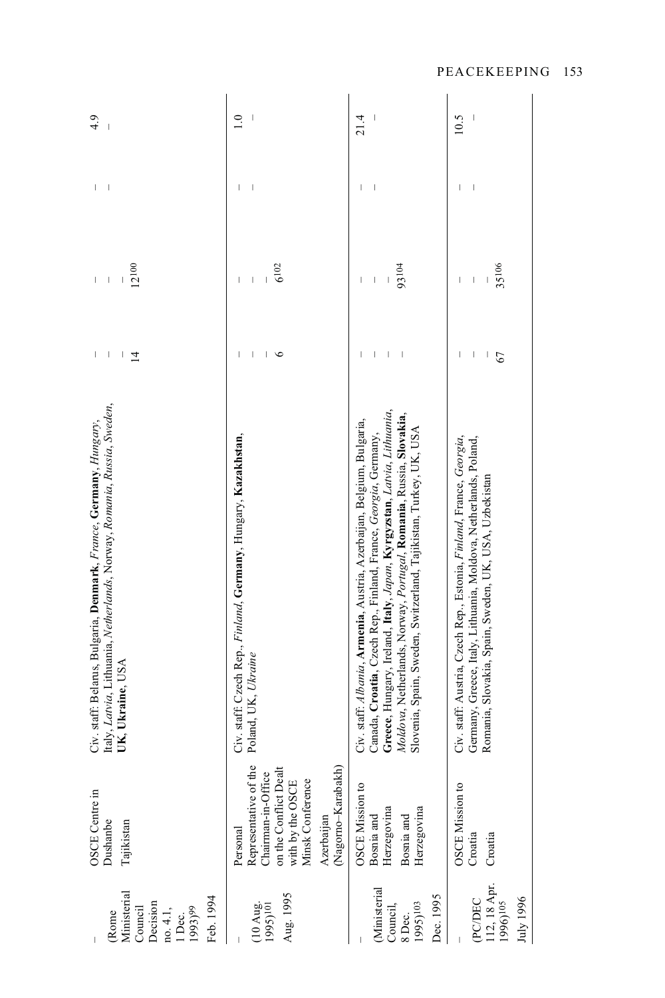| Ministerial<br>Feb. 1994<br>Decision<br>Council<br>1993)99<br>no. 4.1,<br>1 Dec.<br>Rome | OSCE Centre in<br><b>Dushanbe</b><br>Tajikistan                                                                                                              | Italy, Latvia, Lithuania, Netherlands, Norway, Romania, Russia, Sweden,<br>Civ. staff: Belarus, Bulgaria, Denmark, France, Germany, Hungary,<br>UK, Ukraine, USA                                                                                                                                                                                              | I<br>$\overline{\phantom{a}}$<br>$\overline{4}$                    | 12100<br>$\begin{array}{c} \end{array}$<br>$\begin{array}{c} \rule{0pt}{2.5ex} \rule{0pt}{2.5ex} \rule{0pt}{2.5ex} \rule{0pt}{2.5ex} \rule{0pt}{2.5ex} \rule{0pt}{2.5ex} \rule{0pt}{2.5ex} \rule{0pt}{2.5ex} \rule{0pt}{2.5ex} \rule{0pt}{2.5ex} \rule{0pt}{2.5ex} \rule{0pt}{2.5ex} \rule{0pt}{2.5ex} \rule{0pt}{2.5ex} \rule{0pt}{2.5ex} \rule{0pt}{2.5ex} \rule{0pt}{2.5ex} \rule{0pt}{2.5ex} \rule{0pt}{2.5ex} \rule{0$<br>I | I<br>I                         | 4.9<br>Ť         |
|------------------------------------------------------------------------------------------|--------------------------------------------------------------------------------------------------------------------------------------------------------------|---------------------------------------------------------------------------------------------------------------------------------------------------------------------------------------------------------------------------------------------------------------------------------------------------------------------------------------------------------------|--------------------------------------------------------------------|----------------------------------------------------------------------------------------------------------------------------------------------------------------------------------------------------------------------------------------------------------------------------------------------------------------------------------------------------------------------------------------------------------------------------------|--------------------------------|------------------|
| Aug. 1995<br>$(10 \text{ Aug.} 1995)$ <sup>101</sup>                                     | Representative of the<br>(Nagorno-Karabakh)<br>on the Conflict Dealt<br>with by the OSCE<br>Chairman-in-Office<br>Minsk Conference<br>Azerbaijan<br>Personal | Civ. staff: Czech Rep., Finland, Germany, Hungary, Kazakhstan,<br>Poland, UK, Ukraine                                                                                                                                                                                                                                                                         | $\overline{1}$<br>$\begin{array}{c} \hline \end{array}$<br>$\circ$ | 6102<br>$\begin{array}{c} \hline \end{array}$<br>$\begin{array}{c} \end{array}$<br>$\overline{\phantom{a}}$                                                                                                                                                                                                                                                                                                                      | $\overline{\phantom{a}}$<br>T  | $\overline{1.0}$ |
| <b>Ministerial</b><br>Dec. 1995<br>Council,<br>1995)103<br>8 Dec.                        | <b>OSCE Mission to</b><br>Herzegovina<br>Herzegovina<br>Bosnia and<br>Bosnia and                                                                             | Greece, Hungary, Ireland, Italy, Japan, Kyrgyzstan, Latvia, Lithuania,<br>Moldova, Netherlands, Norway, Portugal, Romania, Russia, Slovakia,<br>Civ. staff: Albania, Armenia, Austria, Azerbaijan, Belgium, Bulgaria,<br>Slovenia, Spain, Sweden, Switzerland, Tajikistan, Turkey, UK, USA<br>Canada, Croatia, Czech Rep., Finland, France, Georgia, Germany, | $\overline{1}$<br>I<br>I<br>$\overline{\phantom{a}}$               | 93104<br>$\begin{array}{c} \end{array}$<br>I<br>$\begin{array}{c} \end{array}$                                                                                                                                                                                                                                                                                                                                                   | $\begin{array}{c} \end{array}$ | I<br>21.4        |
| 112, 18 Apr.<br>(PC/DEC<br>July 1996<br>1996) <sup>105</sup>                             | OSCE Mission to<br>Croatia<br>Croatia                                                                                                                        | Civ. staff: Austria, Czech Rep., Estonia, Finland, France, Georgia,<br>Germany, Greece, Italy, Lithuania, Moldova, Netherlands, Poland,<br>Romania, Slovakia, Spain, Sweden, UK, USA, Uzbekistan                                                                                                                                                              | I<br>$\mid$<br>67                                                  | 35106<br>$\begin{array}{c} \rule{0pt}{2.5ex} \rule{0pt}{2.5ex} \rule{0pt}{2.5ex} \rule{0pt}{2.5ex} \rule{0pt}{2.5ex} \rule{0pt}{2.5ex} \rule{0pt}{2.5ex} \rule{0pt}{2.5ex} \rule{0pt}{2.5ex} \rule{0pt}{2.5ex} \rule{0pt}{2.5ex} \rule{0pt}{2.5ex} \rule{0pt}{2.5ex} \rule{0pt}{2.5ex} \rule{0pt}{2.5ex} \rule{0pt}{2.5ex} \rule{0pt}{2.5ex} \rule{0pt}{2.5ex} \rule{0pt}{2.5ex} \rule{0$<br>I                                   | I                              | $\mid$<br>10.5   |

PEACEKEEPING 153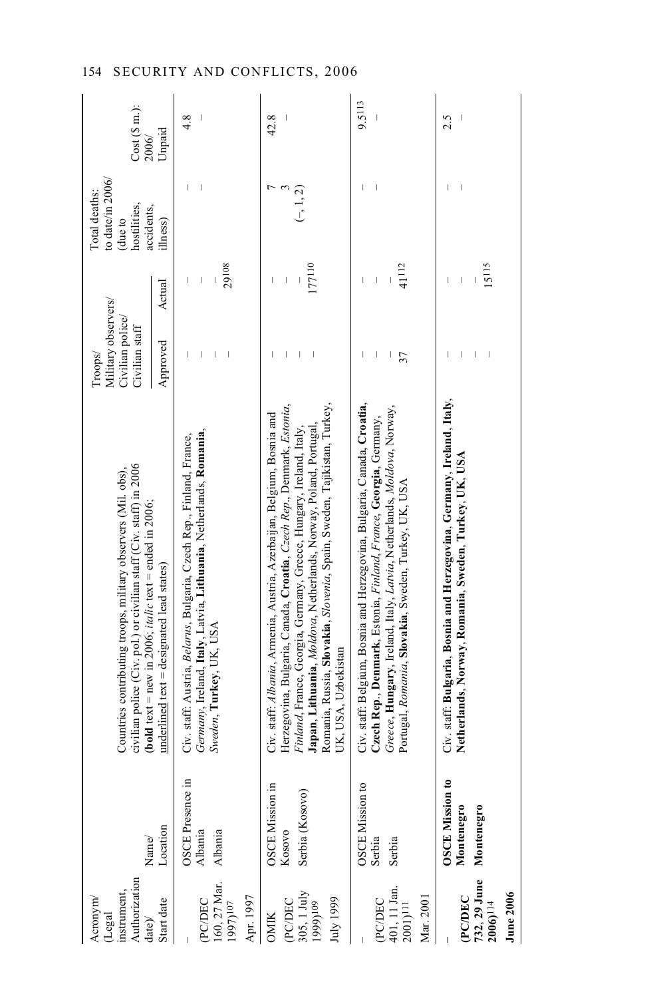| Authorization<br>nstrument,<br>Acronym<br>$(\mathsf{Legal}% \times\mathsf{C})\otimes\mathsf{C}^{\prime\prime}$<br>date) | Name/                                              | civilian police (Civ. pol.) or civilian staff (Civ. staff) in 2006<br>Countries contributing troops, military observers (Mil. obs),<br><b>(bold text</b> = new in 2006; <i>italic</i> text = ended in 2006;                                                                                                                                                                                   | Military observers/<br>Civilian police/<br>Civilian staff<br>Troops/ |                                                                                                                                                                                                                                                                                                                                                                                                | to date/in $2006/$<br>Total deaths:<br>hostilities,<br>accidents,<br>due to | Cost(Sm.):<br>2006/ |
|-------------------------------------------------------------------------------------------------------------------------|----------------------------------------------------|-----------------------------------------------------------------------------------------------------------------------------------------------------------------------------------------------------------------------------------------------------------------------------------------------------------------------------------------------------------------------------------------------|----------------------------------------------------------------------|------------------------------------------------------------------------------------------------------------------------------------------------------------------------------------------------------------------------------------------------------------------------------------------------------------------------------------------------------------------------------------------------|-----------------------------------------------------------------------------|---------------------|
| Start date                                                                                                              | Location                                           | $underline{d}$ text = designated lead states)                                                                                                                                                                                                                                                                                                                                                 | Approved                                                             | Actual                                                                                                                                                                                                                                                                                                                                                                                         | ilhess)                                                                     | Unpaid              |
| (PC/DEC<br>160, 27 Mar.<br>1997) <sup>107</sup><br>Apr. 1997                                                            | OSCE Presence in<br>Albania<br>Albania             | Germany, Ireland, Italy, Latvia, Lithuania, Netherlands, Romania,<br>Civ. staff: Austria, Belarus, Bulgaria, Czech Rep., Finland, France,<br>Sweden, Turkey, UK, USA                                                                                                                                                                                                                          | I                                                                    | 29108<br>Ï                                                                                                                                                                                                                                                                                                                                                                                     | I                                                                           | 4.8                 |
|                                                                                                                         |                                                    |                                                                                                                                                                                                                                                                                                                                                                                               |                                                                      |                                                                                                                                                                                                                                                                                                                                                                                                |                                                                             |                     |
| (PC/DEC<br>305, 1 July<br>1999) <sup>109</sup><br>luly 1999<br><b>OMIK</b>                                              | OSCE Mission in<br>Serbia (Kosovo)<br>Kosovo       | Romania, Russia, Slovakia, Slovenia, Spain, Sweden, Tajikistan, Turkey,<br>Herzegovina, Bulgaria, Canada, Croatia, Czech Rep., Denmark, Estonia,<br>Civ. staff: Albania, Armenia, Austria, Azerbaijan, Belgium, Bosnia and<br>Japan, Lithuania, Moldova, Netherlands, Norway, Poland, Portugal,<br>Finland, France, Georgia, Germany, Greece, Hungary, Ireland, Italy,<br>UK, USA, Uzbekistan |                                                                      | 177110<br>$\overline{\phantom{a}}$<br>I                                                                                                                                                                                                                                                                                                                                                        | $(-, 1, 2)$                                                                 | 42.8                |
| (PC/DEC<br>401, 11 Jan.<br>2001) <sup>111</sup><br>Mar. 2001                                                            | OSCE Mission to<br>Serbia<br>Serbia                | Civ. staff: Belgium, Bosnia and Herzegovina, Bulgaria, Canada, Croatia,<br>Greece, Hungary, Ireland, Italy, Latvia, Netherlands, Moldova, Norway,<br>Czech Rep., Denmark, Estonia, Finland, France, Georgia, Germany,<br>Portugal, Romania, Slovakia, Sweden, Turkey, UK, USA                                                                                                                 | I<br>I<br>37                                                         | 41112<br>$\begin{array}{c} \hline \end{array}$                                                                                                                                                                                                                                                                                                                                                 |                                                                             | 9.5113              |
| 732, 29 June<br>2006) <sup>114</sup><br><b>June 2006</b><br><b>PCDEC</b>                                                | <b>OSCE Mission to</b><br>Montenegro<br>Montenegro | Civ. staff: Bulgaria, Bosnia and Herzegovina, Germany, Ireland, Italy,<br>Netherlands, Norway, Romania, Sweden, Turkey, UK, USA                                                                                                                                                                                                                                                               |                                                                      | 15115<br>$\begin{array}{c} \rule{0pt}{2.5ex} \rule{0pt}{2.5ex} \rule{0pt}{2.5ex} \rule{0pt}{2.5ex} \rule{0pt}{2.5ex} \rule{0pt}{2.5ex} \rule{0pt}{2.5ex} \rule{0pt}{2.5ex} \rule{0pt}{2.5ex} \rule{0pt}{2.5ex} \rule{0pt}{2.5ex} \rule{0pt}{2.5ex} \rule{0pt}{2.5ex} \rule{0pt}{2.5ex} \rule{0pt}{2.5ex} \rule{0pt}{2.5ex} \rule{0pt}{2.5ex} \rule{0pt}{2.5ex} \rule{0pt}{2.5ex} \rule{0$<br>I | $\overline{\phantom{a}}$                                                    | 2.5                 |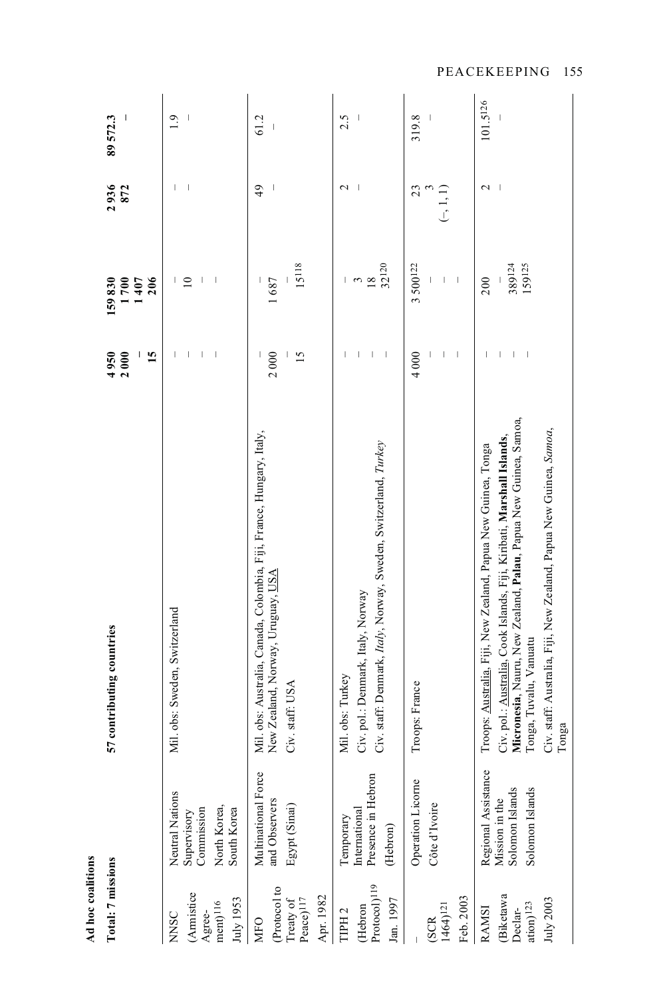| Ad hoc coalitions                                                                                           |                                                                             |                                                                                                                                                                                                                                                                                                                    |                                                                        |                                           |                   |                                     |
|-------------------------------------------------------------------------------------------------------------|-----------------------------------------------------------------------------|--------------------------------------------------------------------------------------------------------------------------------------------------------------------------------------------------------------------------------------------------------------------------------------------------------------------|------------------------------------------------------------------------|-------------------------------------------|-------------------|-------------------------------------|
| Total: 7 missions                                                                                           |                                                                             | 57 contributing countries                                                                                                                                                                                                                                                                                          | 4950<br>15<br>2000                                                     | 159830<br>700<br>206<br>407               | 2936<br>872       | $\overline{\phantom{a}}$<br>89572.3 |
| (Armistice<br>July 1953<br>$\mathrm{ment})^{116}$<br>Agree-<br><b>NNSC</b>                                  | Neutral Nations<br>North Korea,<br>Supervisory<br>Commission<br>South Korea | Mil. obs: Sweden, Switzerland                                                                                                                                                                                                                                                                                      | $\overline{\phantom{a}}$<br>L<br>I<br>I                                | $\overline{10}$<br>I<br>I<br>$\mathsf{I}$ |                   | 1.9                                 |
| (Protocol to<br>Apr. 1982<br>Peace) <sup>117</sup><br>Treaty of<br><b>MFO</b>                               | Multinational Force<br>and Observers<br>Egypt (Sinai)                       | Mil. obs: Australia, Canada, Colombia, Fiji, France, Hungary, Italy,<br>New Zealand, Norway, Uruguay, USA<br>Civ. staff: USA                                                                                                                                                                                       | 2000<br>15                                                             | 15118<br>1687                             | 49                | 61.2                                |
| $\ensuremath{\mathsf{Protocol}}\xspace)$<br>$\ensuremath{\mathsf{I}}\xspace$ 19<br>Jan. 1997<br>(Hebron<br> | Presence in Hebron<br>International<br>Temporary<br>(Hebron)                | Civ. staff: Denmark, Italy, Norway, Sweden, Switzerland, Turkey<br>Civ. pol.: Denmark, Italy, Norway<br>Mil. obs: Turkey                                                                                                                                                                                           | $\overline{1}$<br>I<br>I                                               | 32120<br>$\frac{3}{18}$                   | $\sim$            | 2.5                                 |
| Feb. 2003<br>$1464$ <sup><math>121</math></sup><br>(SCR                                                     | Operation Licorne<br>Côte d'Ivoire                                          | Troops: France                                                                                                                                                                                                                                                                                                     | $\overline{\phantom{a}}$<br>4000                                       | 3 500122<br>$\mid$                        | 23<br>$(-, 1, 1)$ | 319.8                               |
| <b>Biketawa</b><br>July 2003<br>$\arctan$ 123<br><b>RAMSI</b><br>Declar-                                    | Regional Assistance<br>Solomon Islands<br>Solomon Islands<br>Mission in the | Micronesia, Nauru, New Zealand, Palau, Papua New Guinea, Samoa,<br>Civ. staff: Australia, Fiji, New Zealand, Papua New Guinea, Samoa,<br>Civ. pol.: Australia, Cook Islands, Fiji, Kiribati, Marshall Islands,<br>Troops: Australia, Fiji, New Zealand, Papua New Guinea, Tonga<br>Tonga, Tuvalu, Vanuatu<br>Tonga | $\begin{array}{c} \hline \end{array}$<br>$\overline{\phantom{a}}$<br>I | 159125<br>389124<br>200                   | $\mathbf{\sim}$   | 101.5126                            |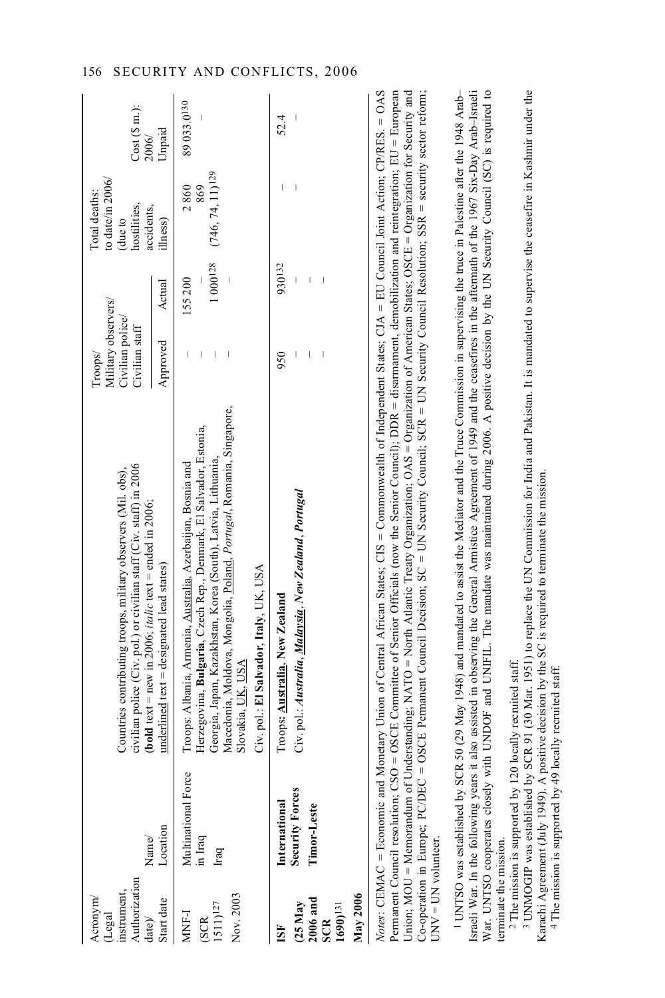| uthorization<br>astrument.<br>Acronym<br>Legal<br>$\ket{ate}$ | Name/                            | civilian police (Civ. pol.) or civilian staff (Civ. staff) in 2006<br>Countries contributing troops, military observers (Mil. obs),<br><b>(bold</b> text = new in 2006; <i>italic</i> text = ended in 2006;                                                                                                                                                                                                                                                          | Military observers/<br>Civilian police/<br>Civilian staff<br>Troops/ |        | to date/in $2006/$<br>Total deaths:<br>hostilities,<br>accidents,<br>due to | Cost(Sm.):<br>2006/ |
|---------------------------------------------------------------|----------------------------------|----------------------------------------------------------------------------------------------------------------------------------------------------------------------------------------------------------------------------------------------------------------------------------------------------------------------------------------------------------------------------------------------------------------------------------------------------------------------|----------------------------------------------------------------------|--------|-----------------------------------------------------------------------------|---------------------|
| tart date                                                     | Location                         | underlined text = designated lead states)                                                                                                                                                                                                                                                                                                                                                                                                                            | Approved                                                             | Actual | illness)                                                                    | Unpaid              |
| MNF-I<br><b>SCR</b>                                           | Multinational Force<br>in Iraq   | Herzegovina, Bulgaria, Czech Rep., Denmark, El Salvador, Estonia,<br>Troops: Albania, Armenia, Australia, Azerbaijan, Bosnia and                                                                                                                                                                                                                                                                                                                                     |                                                                      | 155200 | 2860<br>869                                                                 | 89 033.0130         |
| Nov. 2003<br>$(511)$ <sup>127</sup>                           | Iraq                             | Macedonia, Moldova, Mongolia, Poland, Portugal, Romania, Singapore,<br>Georgia, Japan, Kazakhstan, Korea (South), Latvia, Lithuania,<br>Slovakia, <u>UK, USA</u>                                                                                                                                                                                                                                                                                                     |                                                                      |        | $1000^{128}$ (746, 74, 11) <sup>129</sup>                                   |                     |
|                                                               |                                  | Civ. pol.: El Salvador, Italy, UK, USA                                                                                                                                                                                                                                                                                                                                                                                                                               |                                                                      |        |                                                                             |                     |
|                                                               | International                    | Troops: Australia, New Zealand                                                                                                                                                                                                                                                                                                                                                                                                                                       | 950                                                                  | 930132 |                                                                             | 52.4                |
|                                                               | <b>Security Forces</b>           | Civ. pol.: Australia, <u>Malaysia</u> , New Zealand, Portugal                                                                                                                                                                                                                                                                                                                                                                                                        |                                                                      |        |                                                                             |                     |
| $(25$ May<br>$2006$ and<br>SCR<br>$1690$ <sup>131</sup>       | Timor-Leste                      |                                                                                                                                                                                                                                                                                                                                                                                                                                                                      |                                                                      |        |                                                                             |                     |
| lay 2006                                                      |                                  |                                                                                                                                                                                                                                                                                                                                                                                                                                                                      |                                                                      |        |                                                                             |                     |
|                                                               | ermanent Council resolution; CSO | Notes: CEMAC = Economic and Monetary Union of Central African States; CIS = Commonwealth of Independent States; CIA = EU Council Joint Action; CP/RES. = 0AS<br>= OSCE Committee of Senior Officials (now the Senior Council); DDR = disamament, demobilization and reintegration; EU = European<br>Jnion; MOU = Memorandum of Understanding; NATO = North Atlantic Treaty Organization; OAS = Organization of American States; OSCE = Organization for Security and |                                                                      |        |                                                                             |                     |
| $JNV = UN$ volunteer.                                         | Co-operation in Europe; PC/DEC = | OSCE Permanent Council Decision; SC = UN Security Council; SCR = UN Security Council Resolution; SSR = security sector reform;                                                                                                                                                                                                                                                                                                                                       |                                                                      |        |                                                                             |                     |

Israeli War. In the following years it also assisted in observing the General Armistice Agreement of 1949 and the ceasefires in the aftermath of the 1967 Six-Day Arab–Israeli War. UNTSO cooperates closely with UNDOF and UNIFIL. The mandate was maintained during 2006. A positive decision by the UN Security Council (SC) is required to War. UNTSO cooperates closely with UNDOF and UNIFIL. The mandate was maintained during 2006. A positive decision by the UN Security Council (SC) is required to Israeli War. In the following years it also assisted in observing the General Armistice Agreement of 1949 and the ceasefires in the aftermath of the 1967 Six-Day Arab-Israeli UNTSO was established by SCR 50 (29 May 1948) and mandated to assist the Mediator and the Truce Commission in supervising the truce in Palestine after the 1948 Arab– 1 UNTSO was established by SCR 50 (29 May 1948) and mandated to assist the Mediator and the Truce Commission in supervising the truce in Palestine after the 1948 Arabterminate the mission.

terminate the mission.<br><sup>2</sup> The mission is supported by 120 locally recruited staff. <sup>2</sup> The mission is supported by 120 locally recruited staff.

 UNMOGIP was established by SCR 91 (30 Mar. 1951) to replace the UN Commission for India and Pakistan. It is mandated to supervise the ceasefire in Kashmir under the <sup>3</sup> UNMOGIP was established by SCR 91 (30 Mar. 1951) to replace the UN Commission for India and Pakistan. It is mandated to supervise the ceasefire in Kashmir under the Karachi Agreement (July 1949). A positive decision by the SC is required to terminate the mission. 4 The mission is supported by 49 locally recruited staff. Karachi Agreement (July 1949). A positive decision by the SC is required to terminate the mission. 4 The mission is supported by 49 locally recruited staff.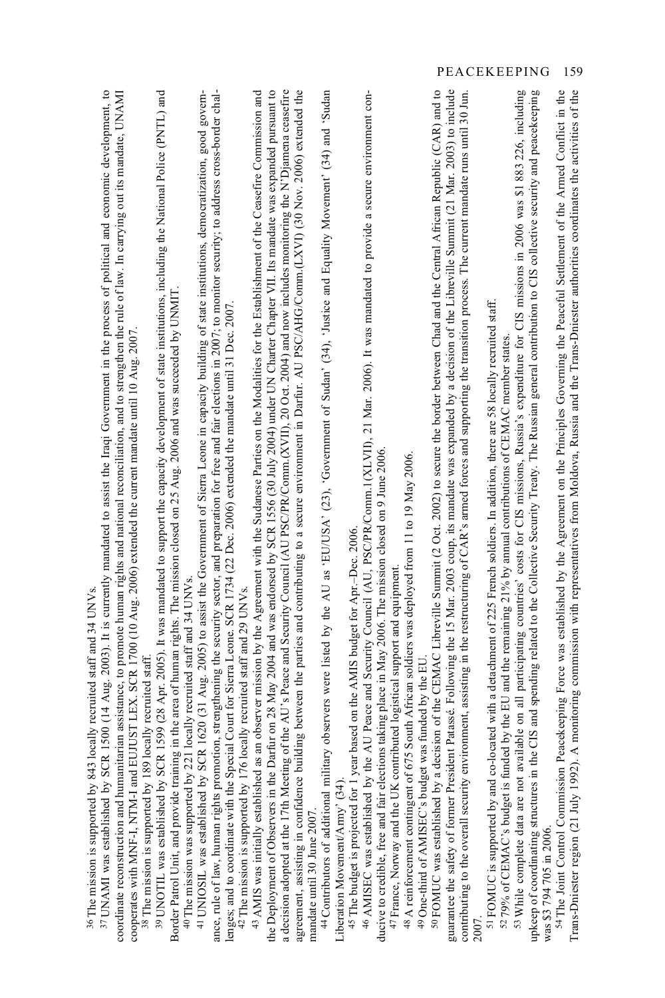| <sup>37</sup> UNAMI was established by SCR 1500 (14 Aug. 2003). It is currently mandated to assist the Iraqi Government in the process of political and economic development, to<br>39 UNOTIL was established by SCR 1599 (28 Apr. 2005). It was mandated to support the capacity development of state institutions, including the National Police (PNTL) and<br>coordinate reconstruction and humanitarian assistance, to promote human rights and national reconciliation, and to strengthen the rule of law. In carrying out its mandate, UNAMI<br>ance, rule of law, human rights promotion, strengthening the security sector, and preparation for free and fair elections in 2007; to monitor security; to address cross-border chal-<br>41 UNIOSIL was established by SCR 1620 (31 Aug. 2005) to assist the Government of Sierra Leone in capacity building of state institutions, democratization, good govern-<br>Border Patrol Unit, and provide training in the area of human rights. The mission closed on 25 Aug. 2006 and was succeeded by UNMIT<br>lenges; and to coordinate with the Special Court for Sierra Leone. SCR 1734 (22 Dec. 2006) extended the mandate until 31 Dec. 2007.<br>cooperates with MNF-I, NTM-I and EUJUST LEX. SCR 1700 (10 Aug. 2006) extended the current mandate until 10 Aug. 2007.<br>40 The mission was supported by 221 locally recruited staff and 34 UNVs.<br>ocally recruited staff and 29 UNVs.<br>ocally recruited staff and 34 UNVs.<br><sup>38</sup> The mission is supported by 189 locally recruited staff.<br>42 The mission is supported by 176 1<br><sup>36</sup> The mission is supported by 843 1 | the Deployment of Observers in the Darfur on 28 May 2004 and was endorsed by SCR 1556 (30 July 2004) under UN Charter Chapter VII. Its mandate was expanded pursuant to<br>ding between the parties and contributing to a secure environment in Darfur. AU PSC/AHG/Comm.(LXVI) (30 Nov. 2006) extended the<br>an observer mission by the Agreement with the Sudanese Parties on the Modalities for the Establishment of the Ceasefire Commission and<br>a decision adopted at the 17th Meeting of the AU's Peace and Security Council (AU PSC/PR/Comm.(XVII), 20 Oct. 2004) and now includes monitoring the N'Djamena ceasefire<br>43 AMIS was initially established as<br>agreement, assisting in confidence buil<br>mandate until 30 June 2007. | 44 Contributors of additional military observers were listed by the AU as 'EU/USA' (23), 'Government of Sudan' (34), 'Justice and Equality Movement' (34) and 'Sudan<br>AU Peace and Security Council (AU, PSC/PR/Comm.1(XLVII), 21 Mar. 2006). It was mandated to provide a secure environment con-<br>ducive to credible, free and fair elections taking place in May 2006. The mission closed on 9 June 2006<br>48 A reinforcement contingent of 675 South African soldiers was deployed from 11 to 19 May 2006.<br>based on the AMIS budget for Apr.-Dec. 2006.<br>47 France, Norway and the UK contributed logistical support and equipment<br>45 The budget is projected for 1 year<br>46 AMISEC was established by the<br>Liberation Movement/Army' (34). | <sup>59</sup> FOMUC was established by a decision of the CEMAC Libreville Summit (2 Oct. 2002) to secure the border between Chad and the Central African Republic (CAR) and to<br>guarantee the safety of former President Patassé. Following the 15 Mar. 2003 coup, its mandate was expanded by a decision of the Libreville Summit (21 Mar. 2003) to include<br>ronment, assisting in the restructuring of CAR's armed forces and supporting the transition process. The current mandate runs until 30 Jun<br>49 One-third of AMISEC's budget was funded by the EU<br>contributing to the overall security envi<br>2007. | upkeep of coordinating structures in the CIS and spending related to the Collective Security Treaty. The Russian general contribution to CIS collective security and peacekeeping<br>53 While complete data are not available on all participating countries' costs for CIS missions, Russia's expenditure for CIS missions in 2006 was \$1 883 226, including<br>51 FOMUC is supported by and co-located with a detachment of 225 French soldiers. In addition, there are 58 locally recruited staff.<br><sup>52</sup> 79% of CEMAC's budget is funded by the EU and the remaining 21% by annual contributions of CEMAC member states.<br>was \$3 794 705 in 2006. | 54 The Joint Control Commission Peacekeeping Force was established by the Agreement on the Principles Governing the Peaceful Settlement of the Armed Conflict in the<br>A monitoring commission with representatives from Moldova, Russia and the Trans-Dniester authorities coordinates the activities of the<br>Trans-Dniester region (21 July 1992). |
|---------------------------------------------------------------------------------------------------------------------------------------------------------------------------------------------------------------------------------------------------------------------------------------------------------------------------------------------------------------------------------------------------------------------------------------------------------------------------------------------------------------------------------------------------------------------------------------------------------------------------------------------------------------------------------------------------------------------------------------------------------------------------------------------------------------------------------------------------------------------------------------------------------------------------------------------------------------------------------------------------------------------------------------------------------------------------------------------------------------------------------------------------------------------------------------------------------------------------------------------------------------------------------------------------------------------------------------------------------------------------------------------------------------------------------------------------------------------------------------------------------------------------------------------------------------------------------------------------------------------------------------------------------------|---------------------------------------------------------------------------------------------------------------------------------------------------------------------------------------------------------------------------------------------------------------------------------------------------------------------------------------------------------------------------------------------------------------------------------------------------------------------------------------------------------------------------------------------------------------------------------------------------------------------------------------------------------------------------------------------------------------------------------------------------|------------------------------------------------------------------------------------------------------------------------------------------------------------------------------------------------------------------------------------------------------------------------------------------------------------------------------------------------------------------------------------------------------------------------------------------------------------------------------------------------------------------------------------------------------------------------------------------------------------------------------------------------------------------------------------------------------------------------------------------------------------------|----------------------------------------------------------------------------------------------------------------------------------------------------------------------------------------------------------------------------------------------------------------------------------------------------------------------------------------------------------------------------------------------------------------------------------------------------------------------------------------------------------------------------------------------------------------------------------------------------------------------------|---------------------------------------------------------------------------------------------------------------------------------------------------------------------------------------------------------------------------------------------------------------------------------------------------------------------------------------------------------------------------------------------------------------------------------------------------------------------------------------------------------------------------------------------------------------------------------------------------------------------------------------------------------------------|---------------------------------------------------------------------------------------------------------------------------------------------------------------------------------------------------------------------------------------------------------------------------------------------------------------------------------------------------------|
|---------------------------------------------------------------------------------------------------------------------------------------------------------------------------------------------------------------------------------------------------------------------------------------------------------------------------------------------------------------------------------------------------------------------------------------------------------------------------------------------------------------------------------------------------------------------------------------------------------------------------------------------------------------------------------------------------------------------------------------------------------------------------------------------------------------------------------------------------------------------------------------------------------------------------------------------------------------------------------------------------------------------------------------------------------------------------------------------------------------------------------------------------------------------------------------------------------------------------------------------------------------------------------------------------------------------------------------------------------------------------------------------------------------------------------------------------------------------------------------------------------------------------------------------------------------------------------------------------------------------------------------------------------------|---------------------------------------------------------------------------------------------------------------------------------------------------------------------------------------------------------------------------------------------------------------------------------------------------------------------------------------------------------------------------------------------------------------------------------------------------------------------------------------------------------------------------------------------------------------------------------------------------------------------------------------------------------------------------------------------------------------------------------------------------|------------------------------------------------------------------------------------------------------------------------------------------------------------------------------------------------------------------------------------------------------------------------------------------------------------------------------------------------------------------------------------------------------------------------------------------------------------------------------------------------------------------------------------------------------------------------------------------------------------------------------------------------------------------------------------------------------------------------------------------------------------------|----------------------------------------------------------------------------------------------------------------------------------------------------------------------------------------------------------------------------------------------------------------------------------------------------------------------------------------------------------------------------------------------------------------------------------------------------------------------------------------------------------------------------------------------------------------------------------------------------------------------------|---------------------------------------------------------------------------------------------------------------------------------------------------------------------------------------------------------------------------------------------------------------------------------------------------------------------------------------------------------------------------------------------------------------------------------------------------------------------------------------------------------------------------------------------------------------------------------------------------------------------------------------------------------------------|---------------------------------------------------------------------------------------------------------------------------------------------------------------------------------------------------------------------------------------------------------------------------------------------------------------------------------------------------------|

PEACEKEEPING 159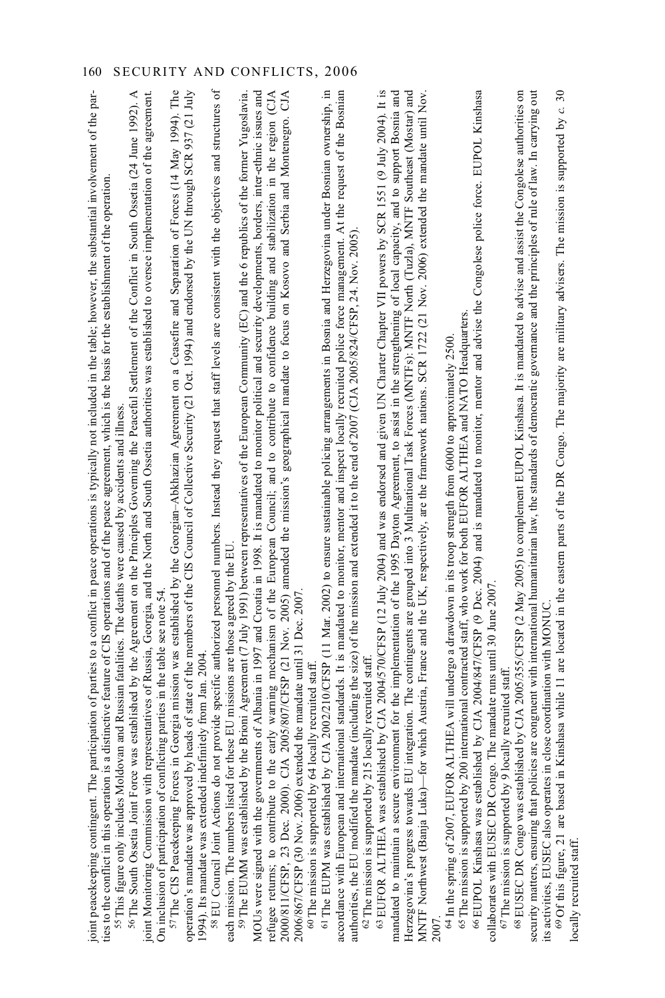| 58 EU Council Joint Actions do not provide specific authorized personnel numbers. Instead they request that staff levels are consistent with the objectives and structures of<br>CJA 2002/210/CFSP (11 Mar. 2002) to ensure sustainable policing arrangements in Bosnia and Herzegovina under Bosnian ownership, in<br>57The CIS Peacekeeping Forces in Georgia mission was established by the Georgian-Abkhazian Agreement on a Ceasefire and Separation of Forces (14 May 1994). The<br>refugee returns; to contribute to the early warning mechanism of the European Council; and to contribute to confidence building and stabilization in the region (CIA<br>2000/811/CFSP, 23 Dec. 2000). CIA 2005/807/CFSP (21 Nov.<br>joint peacekeeping contingent. The participation of parties to a conflict in peace operations is typically not included in the table; however, the substantial involvement of the par-<br><sup>56</sup> The South Ossetia Joint Force was established by the Agreement on the Principles Governing the Peaceful Settlement of the Conflict in South Ossetia (24 June 1992). A<br>heads of state of the members of the CIS Council of Collective Security (21 Oct. 1994) and endorsed by the UN through SCR 937 (21 July<br>MOUs were signed with the governments of Albania in 1997 and Croatia in 1998. It is mandated to monitor political and security developments, borders, inter-ethnic issues and<br>accordance with European and international standards. It is mandated to monitor, mentor and inspect locally recruited police force management. At the request of the Bosnian<br>joint Monitoring Commission with representatives of Russia, Georgia, and the North and South Ossetia authorities was established to oversee implementation of the agreement.<br>the Brioni Agreement (7 July 1991) between representatives of the European Community (EC) and the 6 republics of the former Yugoslavia.<br>ties to the conflict in this operation is a distinctive feature of CIS operations and of the peace agreement, which is the basis for the establishment of the operation<br>authorities, the EU modified the mandate (including the size) of the mission and extended it to the end of 2007 (CJA 2005/824/CFSP, 24. Nov. 2005<br><sup>55</sup> This figure only includes Moldovan and Russian fatalities. The deaths were caused by accidents and illness<br>these EU missions are those agreed by the EU<br>On inclusion of participation of conflicting parties in the table see note 54<br>2006/867/CFSP (30 Nov. 2006) extended the mandate until 31 Dec. 2007<br>1994). Its mandate was extended indefinitely from Jan. 2004.<br>62 The mission is supported by 215 locally recruited staff<br><sup>60</sup> The mission is supported by 64 locally recruited staff<br>operation's mandate was approved by<br><sup>61</sup> The EUPM was established by<br>59 The EUMM was established by<br>each mission. The numbers listed for | 63 EUFOR ALTHEA was established by CIA 2004/570/CFSP (12 July 2004) and was endorsed and given UN Charter Chapter VII powers by SCR 1551 (9 July 2004). It is<br>mandated to maintain a secure environment for the implementation of the 1995 Dayton Agreement, to assist in the strengthening of local capacity, and to support Bosnia and<br>Herzegovina's progress towards EU integration. The contingents are grouped into 3 Multinational Task Forces (MNTFs): MNTF North (Tuzla), MNTF Southeast (Mostar) and<br>which Austria, France and the UK, respectively, are the framework nations. SCR 1722 (21 Nov. 2006) extended the mandate until Nov.<br>MNTF Northwest (Banja Luka)-for | ed by CJA 2004/847/CFSP (9 Dec. 2004) and is mandated to monitor, mentor and advise the Congolese police force. EUPOL Kinshasa<br>international contracted staff, who work for both EUFOR ALTHEA and NATO Headquarters<br>LTHEA will undergo a drawdown in its troop strength from 6000 to approximately 2500<br>The mandate runs until 30 June 2007.<br><sup>67</sup> The mission is supported by 9 locally recruited staff.<br>$64$ In the spring of 2007, EUFOR A<br>65 The mission is supported by 200<br>66 EUPOL Kinshasa was establish<br>collaborates with EUSEC DR Congo. | ned by CJA 2005/355/CFSP (2 May 2005) to complement EUPOL Kinshasa. It is mandated to advise and assist the Congolese authorities on<br>security matters, ensuring that policies are congruent with international humanitarian law, the standards of democratic governance and the principles of rule of law. In carrying out<br>Kinshasa while 11 are located in the eastern parts of the DR Congo. The majority are military advisers. The mission is supported by $c$ .<br>close coordination with MONUC<br>68 EUSEC DR Congo was establish<br>69 Of this figure, 21 are based in K<br>its activities, EUSEC also operates in<br>locally recruited staff. |
|--------------------------------------------------------------------------------------------------------------------------------------------------------------------------------------------------------------------------------------------------------------------------------------------------------------------------------------------------------------------------------------------------------------------------------------------------------------------------------------------------------------------------------------------------------------------------------------------------------------------------------------------------------------------------------------------------------------------------------------------------------------------------------------------------------------------------------------------------------------------------------------------------------------------------------------------------------------------------------------------------------------------------------------------------------------------------------------------------------------------------------------------------------------------------------------------------------------------------------------------------------------------------------------------------------------------------------------------------------------------------------------------------------------------------------------------------------------------------------------------------------------------------------------------------------------------------------------------------------------------------------------------------------------------------------------------------------------------------------------------------------------------------------------------------------------------------------------------------------------------------------------------------------------------------------------------------------------------------------------------------------------------------------------------------------------------------------------------------------------------------------------------------------------------------------------------------------------------------------------------------------------------------------------------------------------------------------------------------------------------------------------------------------------------------------------------------------------------------------------------------------------------------------------------------------------------------------------------------------------------------------------------------------------------------------------------------------------------------------------------------------------------------------------------------------------------------------------------------------------------------------------------------------------------------------------------------------------------------------------------|----------------------------------------------------------------------------------------------------------------------------------------------------------------------------------------------------------------------------------------------------------------------------------------------------------------------------------------------------------------------------------------------------------------------------------------------------------------------------------------------------------------------------------------------------------------------------------------------------------------------------------------------------------------------------------------------|------------------------------------------------------------------------------------------------------------------------------------------------------------------------------------------------------------------------------------------------------------------------------------------------------------------------------------------------------------------------------------------------------------------------------------------------------------------------------------------------------------------------------------------------------------------------------------|--------------------------------------------------------------------------------------------------------------------------------------------------------------------------------------------------------------------------------------------------------------------------------------------------------------------------------------------------------------------------------------------------------------------------------------------------------------------------------------------------------------------------------------------------------------------------------------------------------------------------------------------------------------|
|--------------------------------------------------------------------------------------------------------------------------------------------------------------------------------------------------------------------------------------------------------------------------------------------------------------------------------------------------------------------------------------------------------------------------------------------------------------------------------------------------------------------------------------------------------------------------------------------------------------------------------------------------------------------------------------------------------------------------------------------------------------------------------------------------------------------------------------------------------------------------------------------------------------------------------------------------------------------------------------------------------------------------------------------------------------------------------------------------------------------------------------------------------------------------------------------------------------------------------------------------------------------------------------------------------------------------------------------------------------------------------------------------------------------------------------------------------------------------------------------------------------------------------------------------------------------------------------------------------------------------------------------------------------------------------------------------------------------------------------------------------------------------------------------------------------------------------------------------------------------------------------------------------------------------------------------------------------------------------------------------------------------------------------------------------------------------------------------------------------------------------------------------------------------------------------------------------------------------------------------------------------------------------------------------------------------------------------------------------------------------------------------------------------------------------------------------------------------------------------------------------------------------------------------------------------------------------------------------------------------------------------------------------------------------------------------------------------------------------------------------------------------------------------------------------------------------------------------------------------------------------------------------------------------------------------------------------------------------------------------|----------------------------------------------------------------------------------------------------------------------------------------------------------------------------------------------------------------------------------------------------------------------------------------------------------------------------------------------------------------------------------------------------------------------------------------------------------------------------------------------------------------------------------------------------------------------------------------------------------------------------------------------------------------------------------------------|------------------------------------------------------------------------------------------------------------------------------------------------------------------------------------------------------------------------------------------------------------------------------------------------------------------------------------------------------------------------------------------------------------------------------------------------------------------------------------------------------------------------------------------------------------------------------------|--------------------------------------------------------------------------------------------------------------------------------------------------------------------------------------------------------------------------------------------------------------------------------------------------------------------------------------------------------------------------------------------------------------------------------------------------------------------------------------------------------------------------------------------------------------------------------------------------------------------------------------------------------------|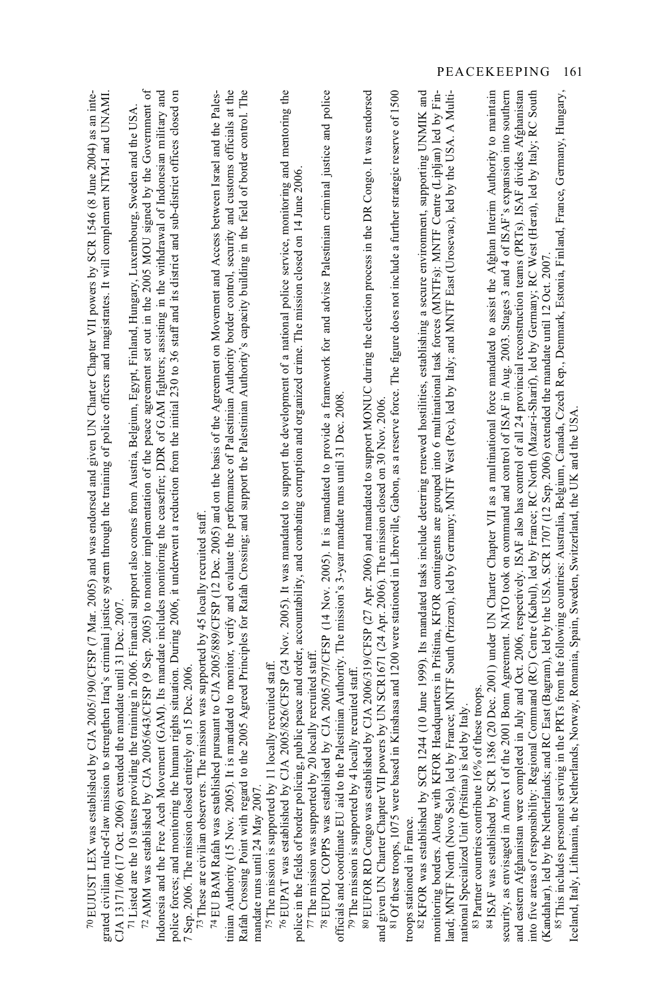| 72 AMM was established by CJA 2005/643/CFSP (9 Sep. 2005) to monitor implementation of the peace agreement set out in the 2005 MOU signed by the Government of<br>police forces; and monitoring the human rights situation. During 2006, it underwent a reduction from the initial 230 to 36 staff and its district and sub-district offices closed on<br>Indonesia and the Free Aceh Movement (GAM). Its mandate includes monitoring the ceasefire; DDR of GAM fighters; assisting in the withdrawal of Indonesian military and<br>strengthen Iraq's criminal justice system through the training of police officers and magistrates. It will complement NTM-1 and UNAMI<br>0 EUJUST LEX was established by CJA 2005/190/CFSP (7 Mar. 2005) and was endorsed and given UN Charter Chapter VII powers by SCR 1546 (8 June 2004) as an inte<br>71 Listed are the 10 states providing the training in 2006. Financial support also comes from Austria, Belgium, Egypt, Finland, Hungary, Luxembourg, Sweden and the USA<br>CIA 13171/06 (17 Oct. 2006) extended the mandate until 31 Dec. 2007.<br>7 Sep. 2006. The mission closed entirely on 15 Dec. 2006<br>grated civilian rule-of-law mission to | tinian Authority (15 Nov. 2005). It is mandated to monitor, verify and evaluate the performance of Palestinian Authority border control, security and customs officials at the<br>ne 2005 Agreed Principles for Rafah Crossing; and support the Palestinian Authority's capacity building in the field of border control. The<br>pursuant to CJA 2005/889/CFSP (12 Dec. 2005) and on the basis of the Agreement on Movement and Access between Israel and the Pales-<br><sup>73</sup> These are civilian observers. The mission was supported by 45 locally recruited staff<br>74 EU BAM Rafah was established<br>Rafah Crossing Point with regard to th<br>mandate runs until 24 May 2007. | 2005/826/CFSP (24 Nov. 2005). It was mandated to support the development of a national police service, monitoring and mentoring the<br>public peace and order, accountability, and combating corruption and organized crime. The mission closed on 14 June 2006.<br>77 The mission was supported by 20 locally recruited staf<br>75 The mission is supported by 11 locally recruited staff<br>76 EUPAT was established by CJA<br>police in the fields of border policing, | <sup>78</sup> EUPOL COPPS was established by CJA 2005/797/CFSP (14 Nov. 2005). It is mandated to provide a framework for and advise Palestinian criminal justice and police<br>officials and coordinate EU aid to the Palestinian Authority. The mission's 3-year mandate runs until 31 Dec. 2008<br><sup>79</sup> The mission is supported by 4 locally recruited staff | in Kinshasa and 1200 were stationed in Libreville, Gabon, as a reserve force. The figure does not include a further strategic reserve of 1500<br>80 EUFOR RD Congo was established by CJA 2006/319/CFSP (27 Apr. 2006) and mandated to support MONUC during the election process in the DR Congo. It was endorsed<br>and given UN Charter Chapter VII powers by UN SCR1671 (24 Apr. 2006). The mission closed on 30 Nov. 2006<br>81 Of these troops, 1075 were based | monitoring borders. Along with KFOR Headquarters in Priština, KFOR contingents are grouped into 6 multinational task forces (MNTFs): MNTF Centre (Lipljan) led by Fin-<br>1244 (10 June 1999). Its mandated tasks include deterring renewed hostilities, establishing a secure environment, supporting UNMIK and<br>land; MNTF North (Novo Selo), led by France; MNTF South (Prizren), led by Germany; MNTF West (Pec), led by Italy; and MNTF East (Urosevac), led by the USA. A Multi-<br>82 KFOR was established by SCR<br>troops stationed in France. | 386 (20 Dec. 2001) under UN Charter Chapter VII as a multinational force mandated to assist the Afghan Interim Authority to maintain<br>security, as envisaged in Annex 1 of the 2001 Bonn Agreement. NATO took on command and control of ISAF in Aug. 2003. Stages 3 and 4 of ISAF's expansion into southern<br>83 Partner countries contribute 16% of these troops<br>national Specialized Unit (Priština) is led by Italy<br>841SAF was established by SCR 1 | into five areas of responsibility: Regional Command (RC) Centre (Kabul), led by France; RC Morth (Mazar-i-Sharif), led by Germany; RC West (Herat), led by Italy; RC South<br>and eastern Afghanistan were completed in July and Oct. 2006, respectively. ISAF also has control of all 24 provincial reconstruction teams (PRTs). ISAF divides Afghanistan<br>85This includes personnel serving in the PRTs from the following countries: Australia, Belgium, Canada, Czech Rep., Denmark, Estonia, Finland, France, Germany, Hungary,<br>(Kandahar), led by the Netherlands; and RC East (Bagram), led by the USA. SCR 1707 (12 Sep. 2006) extended the mandate until 12 Oct 2007<br>loeland, Italy, Lithuania, the Netherlands, Norway, Romania, Spain, Sweden, Switzerland, the UK and the USA |
|-----------------------------------------------------------------------------------------------------------------------------------------------------------------------------------------------------------------------------------------------------------------------------------------------------------------------------------------------------------------------------------------------------------------------------------------------------------------------------------------------------------------------------------------------------------------------------------------------------------------------------------------------------------------------------------------------------------------------------------------------------------------------------------------------------------------------------------------------------------------------------------------------------------------------------------------------------------------------------------------------------------------------------------------------------------------------------------------------------------------------------------------------------------------------------------------------------|---------------------------------------------------------------------------------------------------------------------------------------------------------------------------------------------------------------------------------------------------------------------------------------------------------------------------------------------------------------------------------------------------------------------------------------------------------------------------------------------------------------------------------------------------------------------------------------------------------------------------------------------------------------------------------------------|---------------------------------------------------------------------------------------------------------------------------------------------------------------------------------------------------------------------------------------------------------------------------------------------------------------------------------------------------------------------------------------------------------------------------------------------------------------------------|--------------------------------------------------------------------------------------------------------------------------------------------------------------------------------------------------------------------------------------------------------------------------------------------------------------------------------------------------------------------------|----------------------------------------------------------------------------------------------------------------------------------------------------------------------------------------------------------------------------------------------------------------------------------------------------------------------------------------------------------------------------------------------------------------------------------------------------------------------|-----------------------------------------------------------------------------------------------------------------------------------------------------------------------------------------------------------------------------------------------------------------------------------------------------------------------------------------------------------------------------------------------------------------------------------------------------------------------------------------------------------------------------------------------------------|-----------------------------------------------------------------------------------------------------------------------------------------------------------------------------------------------------------------------------------------------------------------------------------------------------------------------------------------------------------------------------------------------------------------------------------------------------------------|---------------------------------------------------------------------------------------------------------------------------------------------------------------------------------------------------------------------------------------------------------------------------------------------------------------------------------------------------------------------------------------------------------------------------------------------------------------------------------------------------------------------------------------------------------------------------------------------------------------------------------------------------------------------------------------------------------------------------------------------------------------------------------------------------|
|                                                                                                                                                                                                                                                                                                                                                                                                                                                                                                                                                                                                                                                                                                                                                                                                                                                                                                                                                                                                                                                                                                                                                                                                     |                                                                                                                                                                                                                                                                                                                                                                                                                                                                                                                                                                                                                                                                                             |                                                                                                                                                                                                                                                                                                                                                                                                                                                                           |                                                                                                                                                                                                                                                                                                                                                                          |                                                                                                                                                                                                                                                                                                                                                                                                                                                                      |                                                                                                                                                                                                                                                                                                                                                                                                                                                                                                                                                           |                                                                                                                                                                                                                                                                                                                                                                                                                                                                 |                                                                                                                                                                                                                                                                                                                                                                                                                                                                                                                                                                                                                                                                                                                                                                                                   |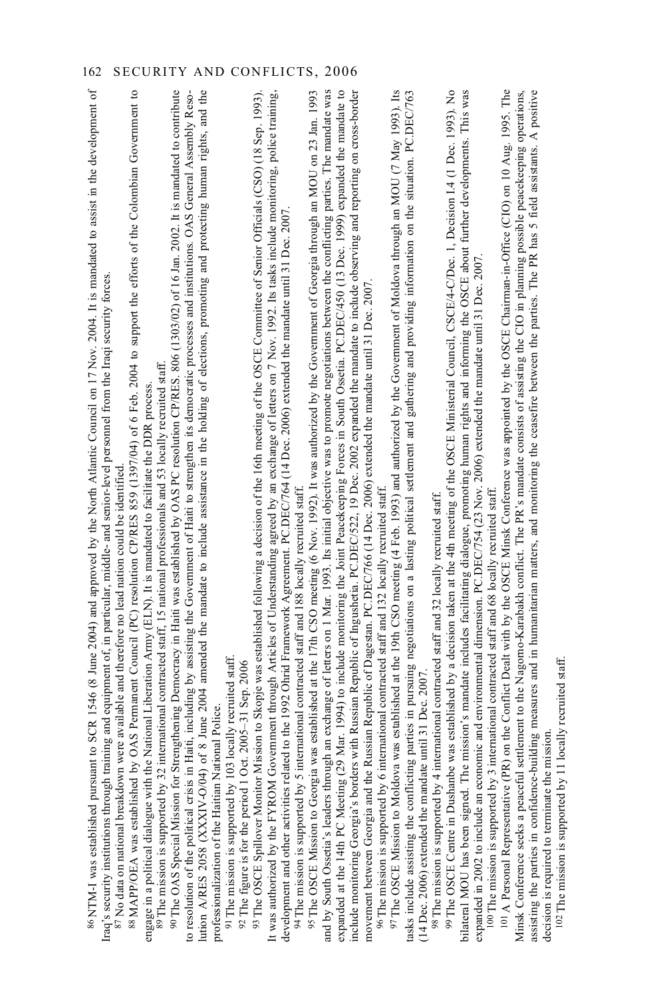| 86NTM-I was established pursuant to SCR 1546 (8 June 2004) and approved by the North Atlantic Council on 17 Nov. 2004. It is mandated to assist in the development of<br>Iraq's security institutions through training and equipment of, in particular, middle- and senior-level personnel from the Iraqi security forces                                         |
|-------------------------------------------------------------------------------------------------------------------------------------------------------------------------------------------------------------------------------------------------------------------------------------------------------------------------------------------------------------------|
| <sup>87</sup> No data on national breakdown were available and therefore no lead nation could be identified                                                                                                                                                                                                                                                       |
| OAS Permanent Council (PC) resolution CP/RES 859 (1397/04) of 6 Feb. 2004 to support the efforts of the Colombian Government to<br>88 MAPP/OEA was established by                                                                                                                                                                                                 |
| engage in a political dialogue with the National Liberation Army (ELN). It is mandated to facilitate the DDR process                                                                                                                                                                                                                                              |
| international contracted staff, 15 national professionals and 53 locally recruited staff.<br>89 The mission is supported by 32 i                                                                                                                                                                                                                                  |
| 90 The OAS Special Mission for Strengthening Democracy in Haiti was established by OAS PC resolution CP/RES. 806 (1303/02) of 16 Jan. 2002. It is mandated to contribute<br>Haiti, including by assisting the Government of Haiti to strengthen its democratic processes and institutions. OAS General Assembly Reso-<br>to resolution of the political crisis in |
| of 8 June 2004 amended the mandate to include assistance in the holding of elections, promoting and protecting human rights, and the<br>lution A/RES 2058 (XXXIV-O/04)                                                                                                                                                                                            |
| professionalization of the Haitian National Police                                                                                                                                                                                                                                                                                                                |
| 91 The mission is supported by 103 locally recruited staff.                                                                                                                                                                                                                                                                                                       |
| 92 The figure is for the period 1 Oct. 2005-31 Sep. 2006                                                                                                                                                                                                                                                                                                          |
| 93 The OSCE Spillover Monitor Mission to Skopje was established following a decision of the 16th meeting of the OSCE Committee of Senior Officials (CSO) (18 Sep. 1993)                                                                                                                                                                                           |
| It was authorized by the FYROM Government through Articles of Understanding agreed by an exchange of letters on 7 Nov. 1992. Its tasks include monitoring, police training,                                                                                                                                                                                       |
| development and other activities related to the 1992 Ohrid Framework Agreement. PC.DEC/764 (14 Dec. 2006) extended the mandate until 31 Dec. 2007.                                                                                                                                                                                                                |
| 94 The mission is supported by 5 international contracted staff and 188 locally recruited staff.                                                                                                                                                                                                                                                                  |
| 95 The OSCE Mission to Georgia was established at the 17th CSO meeting (6 Nov. 1992). It was authorized by the Government of Georgia through an MOU on 23 Jan. 1993                                                                                                                                                                                               |
| and by South Ossetia's leaders through an exchange of letters on 1 Mar. 1993. Its initial objective was to promote negotiations between the conflicting parties. The mandate was                                                                                                                                                                                  |
| expanded at the 14th PC Meeting (29 Mar. 1994) to include monitoring the Joint Peacekeeping Forces in South Ossetia. PC.DEC/450 (13 Dec. 1999) expanded the mandate to                                                                                                                                                                                            |
| with Russian Republic of Ingushetia. PC.DEC/522, 19 Dec. 2002 expanded the mandate to include observing and reporting on cross-border<br>include monitoring Georgia's borders                                                                                                                                                                                     |
| movement between Georgia and the Russian Republic of Dagestan. PC.DEC/766 (14 Dec. 2006) extended the mandate until 31 Dec. 2007.                                                                                                                                                                                                                                 |
| % The mission is supported by 6 international contracted staff and 132 locally recruited staff                                                                                                                                                                                                                                                                    |
| was established at the 19th CSO meeting (4 Feb. 1993) and authorized by the Government of Moldova through an MOU (7 May 1993). Its<br>97 The OSCE Mission to Moldova                                                                                                                                                                                              |
| tasks include assisting the conflicting parties in pursuing negotiations on a lasting political settlement and gathering and providing information on the situation. PC.DEC/763                                                                                                                                                                                   |
| (14 Dec. 2006) extended the mandate until 31 Dec. 200                                                                                                                                                                                                                                                                                                             |
| ternational contracted staff and 32 locally recruited staff.<br>98 The mission is supported by $4 \text{ in}$                                                                                                                                                                                                                                                     |
| 99 The OSCE Centre in Dushanbe was established by a decision taken at the 4th meeting of the OSCE Ministerial Council, CSCE/4-C/Dec. 1, Decision 1.4 (1 Dec. 1993). No                                                                                                                                                                                            |
| bilateral MOU has been signed. The mission's mandate includes facilitating dialogue, promoting human rights and informing the OSCE about further developments. This was                                                                                                                                                                                           |
| expanded in 2002 to include an economic and environmental dimension. PC.DEC/754 (23 Nov. 2006) extended the mandate until 31 Dec. 2007.                                                                                                                                                                                                                           |
| nternational contracted staff and 68 locally recruited staff<br><sup>100</sup> The mission is supported by 3 i                                                                                                                                                                                                                                                    |
| 101 A Personal Representative (PR) on the Conflict Dealt with by the OSCE Minsk Conference was appointed by the OSCE Chairman-in-Office (CIO) on 10 Aug. 1995. The                                                                                                                                                                                                |
| Minsk Conference seeks a peaceful settlement to the Nagomo-Karabakh conflict. The PR's mandate consists of assisting the CIO in planning possible peacekeeping operations,                                                                                                                                                                                        |
| assisting the parties in confidence-building measures and in humanitarian matters, and monitoring the ceasefire between the parties. The PR has 5 field assistants. A positive                                                                                                                                                                                    |
| decision is required to terminate the mission                                                                                                                                                                                                                                                                                                                     |

decision is required to terminate the mission.<br> $102$  The mission is supported by 11 locally recruited staff. 102 The mission is supported by 11 locally recruited staff.